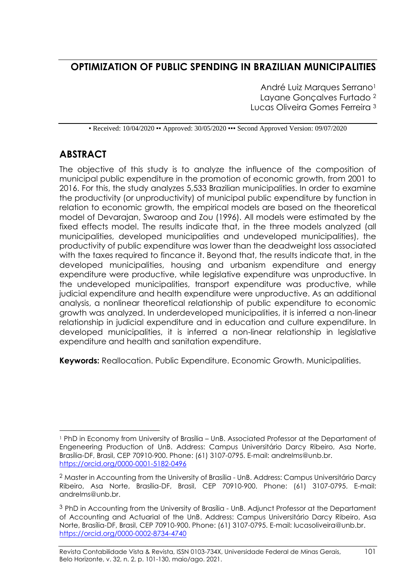# **OPTIMIZATION OF PUBLIC SPENDING IN BRAZILIAN MUNICIPALITIES**

André Luiz Marques Serrano<sup>1</sup> Layane Gonçalves Furtado <sup>2</sup> Lucas Oliveira Gomes Ferreira <sup>3</sup>

• Received: 10/04/2020 • Approved: 30/05/2020 • • Second Approved Version: 09/07/2020

# **ABSTRACT**

The objective of this study is to analyze the influence of the composition of municipal public expenditure in the promotion of economic growth, from 2001 to 2016. For this, the study analyzes 5,533 Brazilian municipalities. In order to examine the productivity (or unproductivity) of municipal public expenditure by function in relation to economic growth, the empirical models are based on the theoretical model of Devarajan, Swaroop and Zou (1996). All models were estimated by the fixed effects model. The results indicate that, in the three models analyzed (all municipalities, developed municipalities and undeveloped municipalities), the productivity of public expenditure was lower than the deadweight loss associated with the taxes required to fincance it. Beyond that, the results indicate that, in the developed municipalities, housing and urbanism expenditure and energy expenditure were productive, while legislative expenditure was unproductive. In the undeveloped municipalities, transport expenditure was productive, while judicial expenditure and health expenditure were unproductive. As an additional analysis, a nonlinear theoretical relationship of public expenditure to economic growth was analyzed. In underdeveloped municipalities, it is inferred a non-linear relationship in judicial expenditure and in education and culture expenditure. In developed municipalities, it is inferred a non-linear relationship in legislative expenditure and health and sanitation expenditure.

**Keywords:** Reallocation. Public Expenditure. Economic Growth. Municipalities.

<sup>&</sup>lt;sup>1</sup> PhD in Economy from University of Brasília – UnB. Associated Professor at the Departament of Engeneering Production of UnB. Address: Campus Universitário Darcy Ribeiro, Asa Norte, Brasília-DF, Brasil, CEP 70910-900. Phone: (61) 3107-0795. E-mail: andrelms@unb.br. <https://orcid.org/0000-0001-5182-0496>

<sup>&</sup>lt;sup>2</sup> Master in Accounting from the University of Brasília - UnB. Address: Campus Universitário Darcy Ribeiro, Asa Norte, Brasília-DF, Brasil, CEP 70910-900. Phone: (61) 3107-0795. E-mail: andrelms@unb.br.

<sup>&</sup>lt;sup>3</sup> PhD in Accounting from the University of Brasília - UnB. Adjunct Professor at the Departament of Accounting and Actuarial of the UnB. Address: Campus Universitário Darcy Ribeiro, Asa Norte, Brasília-DF, Brasil, CEP 70910-900. Phone: (61) 3107-0795. E-mail: lucasoliveira@unb.br. <https://orcid.org/0000-0002-8734-4740>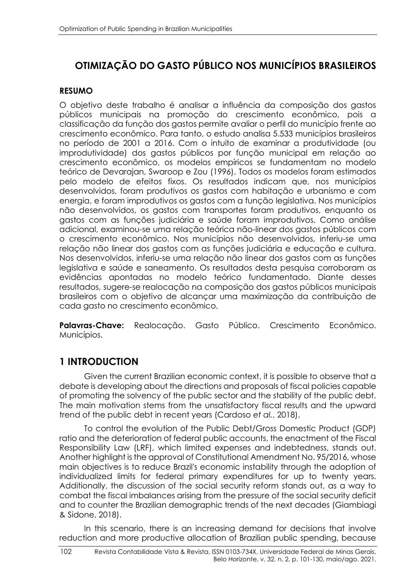# **OTIMIZAÇÃO DO GASTO PÚBLICO NOS MUNICÍPIOS BRASILEIROS**

### **RESUMO**

O objetivo deste trabalho é analisar a influência da composição dos gastos públicos municipais na promoção do crescimento econômico, pois a classificação da função dos gastos permite avaliar o perfil do município frente ao crescimento econômico. Para tanto, o estudo analisa 5.533 municípios brasileiros no período de 2001 a 2016. Com o intuito de examinar a produtividade (ou improdutividade) dos gastos públicos por função municipal em relação ao crescimento econômico, os modelos empíricos se fundamentam no modelo teórico de Devarajan, Swaroop e Zou (1996). Todos os modelos foram estimados pelo modelo de efeitos fixos. Os resultados indicam que, nos municípios desenvolvidos, foram produtivos os gastos com habitação e urbanismo e com energia, e foram improdutivos os gastos com a função legislativa. Nos municípios não desenvolvidos, os gastos com transportes foram produtivos, enquanto os gastos com as funções judiciária e saúde foram improdutivos. Como análise adicional, examinou-se uma relação teórica não-linear dos gastos públicos com o crescimento econômico. Nos municípios não desenvolvidos, inferiu-se uma relação não linear dos gastos com as funções judiciária e educação e cultura. Nos desenvolvidos, inferiu-se uma relação não linear dos gastos com as funções legislativa e saúde e saneamento. Os resultados desta pesquisa corroboram as evidências apontadas no modelo teórico fundamentado. Diante desses resultados, sugere-se realocação na composição dos gastos públicos municipais brasileiros com o objetivo de alcançar uma maximização da contribuição de cada gasto no crescimento econômico.

**Palavras-Chave:** Realocação. Gasto Público. Crescimento Econômico. Municípios.

# **1 INTRODUCTION**

Given the current Brazilian economic context, it is possible to observe that a debate is developing about the directions and proposals of fiscal policies capable of promoting the solvency of the public sector and the stability of the public debt. The main motivation stems from the unsatisfactory fiscal results and the upward trend of the public debt in recent years (Cardoso *et al.*, 2018).

To control the evolution of the Public Debt/Gross Domestic Product (GDP) ratio and the deterioration of federal public accounts, the enactment of the Fiscal Responsibility Law (LRF), which limited expenses and indebtedness, stands out. Another highlight is the approval of Constitutional Amendment No. 95/2016, whose main objectives is to reduce Brazil's economic instability through the adoption of individualized limits for federal primary expenditures for up to twenty years. Additionally, the discussion of the social security reform stands out, as a way to combat the fiscal imbalances arising from the pressure of the social security deficit and to counter the Brazilian demographic trends of the next decades (Giambiagi & Sidone, 2018).

In this scenario, there is an increasing demand for decisions that involve reduction and more productive allocation of Brazilian public spending, because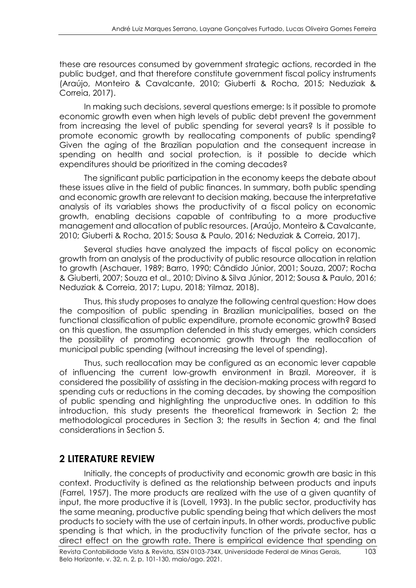these are resources consumed by government strategic actions, recorded in the public budget, and that therefore constitute government fiscal policy instruments (Araújo, Monteiro & Cavalcante, 2010; Giuberti & Rocha, 2015; Neduziak & Correia, 2017).

In making such decisions, several questions emerge: Is it possible to promote economic growth even when high levels of public debt prevent the government from increasing the level of public spending for several years? Is it possible to promote economic growth by reallocating components of public spending? Given the aging of the Brazilian population and the consequent increase in spending on health and social protection, is it possible to decide which expenditures should be prioritized in the coming decades?

The significant public participation in the economy keeps the debate about these issues alive in the field of public finances. In summary, both public spending and economic growth are relevant to decision making, because the interpretative analysis of its variables shows the productivity of a fiscal policy on economic growth, enabling decisions capable of contributing to a more productive management and allocation of public resources. (Araújo, Monteiro & Cavalcante, 2010; Giuberti & Rocha, 2015; Sousa & Paulo, 2016; Neduziak & Correia, 2017).

Several studies have analyzed the impacts of fiscal policy on economic growth from an analysis of the productivity of public resource allocation in relation to growth (Aschauer, 1989; Barro, 1990; Cândido Júnior, 2001; Souza, 2007; Rocha & Giuberti, 2007; Souza et al., 2010; Divino & Silva Júnior, 2012; Sousa & Paulo, 2016; Neduziak & Correia, 2017; Lupu, 2018; Yilmaz, 2018).

Thus, this study proposes to analyze the following central question: How does the composition of public spending in Brazilian municipalities, based on the functional classification of public expenditure, promote economic growth? Based on this question, the assumption defended in this study emerges, which considers the possibility of promoting economic growth through the reallocation of municipal public spending (without increasing the level of spending).

Thus, such reallocation may be configured as an economic lever capable of influencing the current low-growth environment in Brazil. Moreover, it is considered the possibility of assisting in the decision-making process with regard to spending cuts or reductions in the coming decades, by showing the composition of public spending and highlighting the unproductive ones. In addition to this introduction, this study presents the theoretical framework in Section 2; the methodological procedures in Section 3; the results in Section 4; and the final considerations in Section 5.

# **2 LITERATURE REVIEW**

Initially, the concepts of productivity and economic growth are basic in this context. Productivity is defined as the relationship between products and inputs (Farrel, 1957). The more products are realized with the use of a given quantity of input, the more productive it is (Lovell, 1993). In the public sector, productivity has the same meaning, productive public spending being that which delivers the most products to society with the use of certain inputs. In other words, productive public spending is that which, in the productivity function of the private sector, has a direct effect on the growth rate. There is empirical evidence that spending on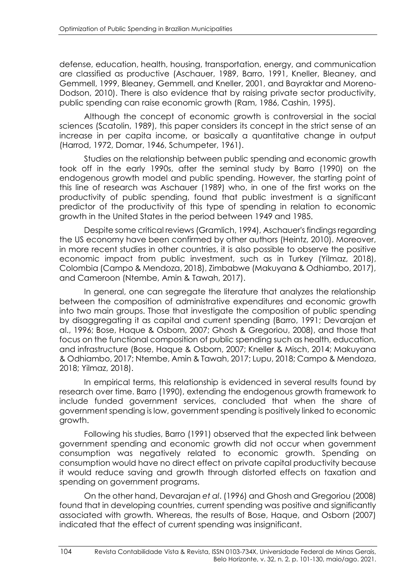defense, education, health, housing, transportation, energy, and communication are classified as productive (Aschauer, 1989, Barro, 1991, Kneller, Bleaney, and Gemmell, 1999, Bleaney, Gemmell, and Kneller, 2001, and Bayraktar and Moreno-Dodson, 2010). There is also evidence that by raising private sector productivity, public spending can raise economic growth (Ram, 1986, Cashin, 1995).

Although the concept of economic growth is controversial in the social sciences (Scatolin, 1989), this paper considers its concept in the strict sense of an increase in per capita income, or basically a quantitative change in output (Harrod, 1972, Domar, 1946, Schumpeter, 1961).

Studies on the relationship between public spending and economic growth took off in the early 1990s, after the seminal study by Barro (1990) on the endogenous growth model and public spending. However, the starting point of this line of research was Aschauer (1989) who, in one of the first works on the productivity of public spending, found that public investment is a significant predictor of the productivity of this type of spending in relation to economic growth in the United States in the period between 1949 and 1985.

Despite some critical reviews (Gramlich, 1994), Aschauer's findings regarding the US economy have been confirmed by other authors (Heintz, 2010). Moreover, in more recent studies in other countries, it is also possible to observe the positive economic impact from public investment, such as in Turkey (Yilmaz, 2018), Colombia (Campo & Mendoza, 2018), Zimbabwe (Makuyana & Odhiambo, 2017), and Cameroon (Ntembe, Amin & Tawah, 2017).

In general, one can segregate the literature that analyzes the relationship between the composition of administrative expenditures and economic growth into two main groups. Those that investigate the composition of public spending by disaggregating it as capital and current spending (Barro, 1991; Devarajan et al., 1996; Bose, Haque & Osborn, 2007; Ghosh & Gregoriou, 2008), and those that focus on the functional composition of public spending such as health, education, and infrastructure (Bose, Haque & Osborn, 2007; Kneller & Misch, 2014; Makuyana & Odhiambo, 2017; Ntembe, Amin & Tawah, 2017; Lupu, 2018; Campo & Mendoza, 2018; Yilmaz, 2018).

In empirical terms, this relationship is evidenced in several results found by research over time. Barro (1990), extending the endogenous growth framework to include funded government services, concluded that when the share of government spending is low, government spending is positively linked to economic growth.

Following his studies, Barro (1991) observed that the expected link between government spending and economic growth did not occur when government consumption was negatively related to economic growth. Spending on consumption would have no direct effect on private capital productivity because it would reduce saving and growth through distorted effects on taxation and spending on government programs.

On the other hand, Devarajan *et al*. (1996) and Ghosh and Gregoriou (2008) found that in developing countries, current spending was positive and significantly associated with growth. Whereas, the results of Bose, Haque, and Osborn (2007) indicated that the effect of current spending was insignificant.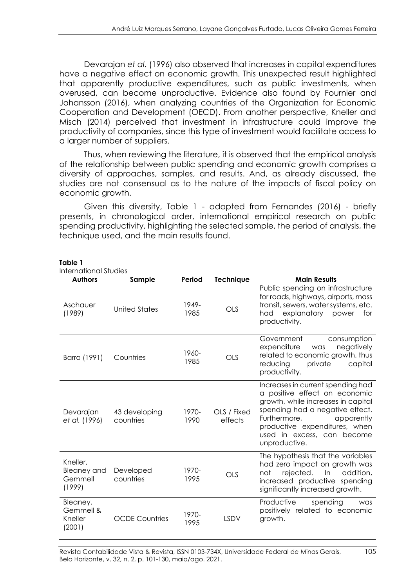Devarajan *et al*. (1996) also observed that increases in capital expenditures have a negative effect on economic growth. This unexpected result highlighted that apparently productive expenditures, such as public investments, when overused, can become unproductive. Evidence also found by Fournier and Johansson (2016), when analyzing countries of the Organization for Economic Cooperation and Development (OECD). From another perspective, Kneller and Misch (2014) perceived that investment in infrastructure could improve the productivity of companies, since this type of investment would facilitate access to a larger number of suppliers.

Thus, when reviewing the literature, it is observed that the empirical analysis of the relationship between public spending and economic growth comprises a diversity of approaches, samples, and results. And, as already discussed, the studies are not consensual as to the nature of the impacts of fiscal policy on economic growth.

Given this diversity, Table 1 - adapted from Fernandes (2016) - briefly presents, in chronological order, international empirical research on public spending productivity, highlighting the selected sample, the period of analysis, the technique used, and the main results found.

| <b>International Studies</b>                        |                            |               |                        |                                                                                                                                                                                                                                                           |
|-----------------------------------------------------|----------------------------|---------------|------------------------|-----------------------------------------------------------------------------------------------------------------------------------------------------------------------------------------------------------------------------------------------------------|
| <b>Authors</b>                                      | Sample                     | Period        | <b>Technique</b>       | <b>Main Results</b>                                                                                                                                                                                                                                       |
| Aschauer<br>(1989)                                  | <b>United States</b>       | 1949-<br>1985 | OLS                    | Public spending on infrastructure<br>for roads, highways, airports, mass<br>transit, sewers, water systems, etc.<br>explanatory power<br>had<br>for<br>productivity.                                                                                      |
| Barro (1991)                                        | Countries                  | 1960-<br>1985 | OLS                    | Government<br>consumption<br>expenditure<br>negatively<br>was<br>related to economic growth, thus<br>reducing<br>private<br>capital<br>productivity.                                                                                                      |
| Devarajan<br>et al. (1996)                          | 43 developing<br>countries | 1970-<br>1990 | OLS / Fixed<br>effects | Increases in current spending had<br>a positive effect on economic<br>growth, while increases in capital<br>spending had a negative effect.<br>Furthermore,<br>apparently<br>productive expenditures, when<br>used in excess, can become<br>unproductive. |
| Kneller,<br><b>Bleaney and</b><br>Gemmell<br>(1999) | Developed<br>countries     | 1970-<br>1995 | <b>OLS</b>             | The hypothesis that the variables<br>had zero impact on growth was<br>rejected.<br>addition,<br>not<br>In<br>increased productive spending<br>significantly increased growth.                                                                             |
| Bleaney,<br>Gemmell &<br>Kneller<br>(2001)          | <b>OCDE Countries</b>      | 1970-<br>1995 | LSDV                   | Productive<br>spending<br>was<br>positively related to economic<br>growth.                                                                                                                                                                                |

#### **Table 1**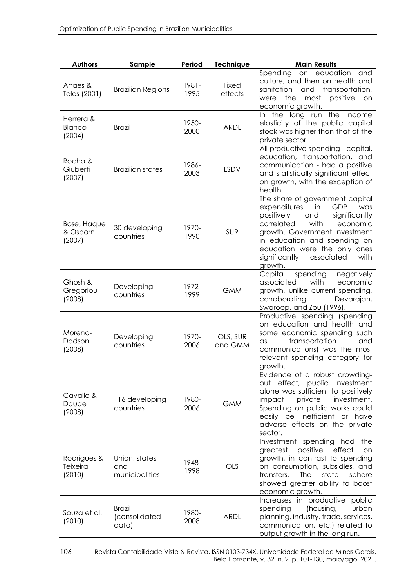| <b>Authors</b>                    | Sample                                  | Period        | <b>Technique</b>    | <b>Main Results</b>                                                                                                                                                                                                                                                                            |
|-----------------------------------|-----------------------------------------|---------------|---------------------|------------------------------------------------------------------------------------------------------------------------------------------------------------------------------------------------------------------------------------------------------------------------------------------------|
| Arraes &<br>Teles (2001)          | <b>Brazilian Regions</b>                | 1981-<br>1995 | Fixed<br>effects    | on education<br>Spending<br>and<br>culture, and then on health and<br>transportation,<br>sanitation<br>and<br>the<br>positive<br>were<br>most<br>on<br>economic growth.                                                                                                                        |
| Herrera &<br>Blanco<br>(2004)     | <b>Brazil</b>                           | 1950-<br>2000 | <b>ARDL</b>         | the long run the<br>In.<br>income<br>elasticity of the public capital<br>stock was higher than that of the<br>private sector                                                                                                                                                                   |
| Rocha &<br>Giuberti<br>(2007)     | <b>Brazilian states</b>                 | 1986-<br>2003 | LSDV                | All productive spending - capital,<br>education, transportation, and<br>communication - had a positive<br>and statistically significant effect<br>on growth, with the exception of<br>health.                                                                                                  |
| Bose, Haque<br>& Osborn<br>(2007) | 30 developing<br>countries              | 1970-<br>1990 | SUR                 | The share of government capital<br>expenditures<br>in<br>GDP<br>was<br>positively<br>significantly<br>and<br>with<br>correlated<br>economic<br>growth. Government investment<br>in education and spending on<br>education were the only ones<br>significantly<br>associated<br>with<br>growth. |
| Ghosh &<br>Gregoriou<br>(2008)    | Developing<br>countries                 | 1972-<br>1999 | <b>GMM</b>          | spending<br>negatively<br>Capital<br>with<br>associated<br>economic<br>growth, unlike current spending,<br>corroborating<br>Devarajan,<br>Swaroop, and Zou (1996).                                                                                                                             |
| Moreno-<br>Dodson<br>(2008)       | Developing<br>countries                 | 1970-<br>2006 | OLS, SUR<br>and GMM | Productive spending (spending<br>on education and health and<br>some economic spending such<br>transportation<br>and<br>as<br>communications) was the most<br>relevant spending category for<br>growth.                                                                                        |
| Cavallo &<br>Daude<br>(2008)      | 116 developing<br>countries             | 1980-<br>2006 | <b>GMM</b>          | Evidence of a robust crowding-<br>out effect, public investment<br>alone was sufficient to positively<br>impact<br>private<br>investment.<br>Spending on public works could<br>easily be inefficient or have<br>adverse effects on the private<br>sector.                                      |
| Rodrigues &<br>Teixeira<br>(2010) | Union, states<br>and<br>municipalities  | 1948-<br>1998 | OLS                 | Investment spending<br>had<br>the<br>positive<br>effect<br>greatest<br>on<br>growth, in contrast to spending<br>on consumption, subsidies, and<br>transfers.<br>state<br>The<br>sphere<br>showed greater ability to boost<br>economic growth.                                                  |
| Souza et al.<br>(2010)            | <b>Brazil</b><br>(consolidated<br>data) | 1980-<br>2008 | <b>ARDL</b>         | Increases in productive public<br>spending<br>(housing,<br>urban<br>planning, industry, trade, services,<br>communication, etc.) related to<br>output growth in the long run.                                                                                                                  |

106 Revista Contabilidade Vista & Revista, ISSN 0103-734X, Universidade Federal de Minas Gerais, Belo Horizonte, v. 32, n. 2, p. 101-130, maio/ago. 2021.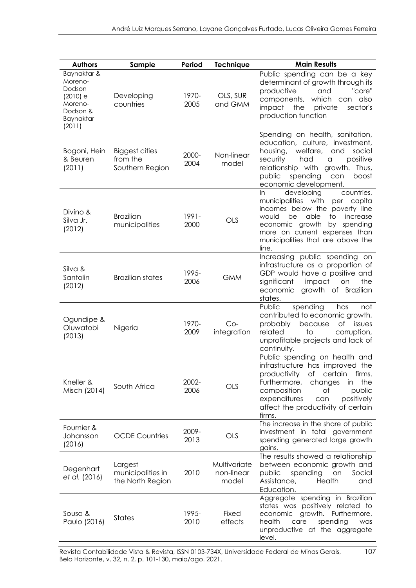| <b>Authors</b>                                                                             | Sample                                           | Period           | <b>Technique</b>                    | <b>Main Results</b>                                                                                                                                                                                                                                                     |
|--------------------------------------------------------------------------------------------|--------------------------------------------------|------------------|-------------------------------------|-------------------------------------------------------------------------------------------------------------------------------------------------------------------------------------------------------------------------------------------------------------------------|
| Baynaktar &<br>Moreno-<br>Dodson<br>(2010) e<br>Moreno-<br>Dodson &<br>Baynaktar<br>(2011) | Developing<br>countries                          | 1970-<br>2005    | OLS, SUR<br>and GMM                 | Public spending can be a key<br>determinant of growth through its<br>"core"<br>productive<br>and<br>which can also<br>components,<br>impact<br>the<br>private<br>sector's<br>production function                                                                        |
| Bogoni, Hein<br>& Beuren<br>(2011)                                                         | Biggest cities<br>from the<br>Southern Region    | 2000-<br>2004    | Non-linear<br>model                 | Spending on health, sanitation,<br>education, culture, investment,<br>welfare,<br>housing,<br>and<br>social<br>positive<br>security<br>had<br>$\alpha$<br>growth.<br>relationship with<br>Thus,<br>public<br>spending<br>boost<br>can<br>economic development.          |
| Divino &<br>Silva Jr.<br>(2012)                                                            | <b>Brazilian</b><br>municipalities               | $1991 -$<br>2000 | OLS                                 | developing<br>countries,<br>In.<br>municipalities with<br>capita<br>per<br>incomes below the poverty line<br>able<br>would<br>be<br>to<br>increase<br>economic growth<br>by<br>spending<br>more on current expenses than<br>municipalities that are above the<br>line.  |
| Silva &<br>Santolin<br>(2012)                                                              | <b>Brazilian states</b>                          | 1995-<br>2006    | <b>GMM</b>                          | Increasing public spending on<br>infrastructure as a proportion of<br>GDP would have a positive and<br>significant<br>impact<br>the<br>on<br>growth of Brazilian<br>economic<br>states.                                                                                 |
| Ogundipe &<br>Oluwatobi<br>(2013)                                                          | Nigeria                                          | 1970-<br>2009    | $Co-$<br>integration                | spending<br>Public<br>has<br>not<br>contributed to economic growth,<br>because<br>of issues<br>probably<br>related<br>to<br>corruption,<br>unprofitable projects and lack of<br>continuity.                                                                             |
| Kneller &<br>Misch (2014)                                                                  | South Africa                                     | 2002-<br>2006    | <b>OLS</b>                          | Public spending on health and<br>infrastructure has improved the<br>productivity<br>ot<br>certain<br>tirms.<br>the<br>Furthermore,<br>changes<br>in<br>composition<br>public<br>Οf<br>expenditures<br>positively<br>can<br>affect the productivity of certain<br>firms. |
| Fournier &<br>Johansson<br>(2016)                                                          | <b>OCDE Countries</b>                            | 2009-<br>2013    | OLS                                 | The increase in the share of public<br>investment in total government<br>spending generated large growth<br>gains.                                                                                                                                                      |
| Degenhart<br>et al. (2016)                                                                 | Largest<br>municipalities in<br>the North Region | 2010             | Multivariate<br>non-linear<br>model | The results showed a relationship<br>between economic growth and<br>public<br>spending<br>Social<br>on<br>Assistance,<br>Health<br>and<br>Education.                                                                                                                    |
| Sousa &<br>Paulo (2016)                                                                    | States                                           | 1995-<br>2010    | Fixed<br>effects                    | Aggregate spending in Brazilian<br>states was positively related to<br>economic<br>growth. Furthermore,<br>health<br>spending<br>care<br>was<br>unproductive at the aggregate<br>level.                                                                                 |

Revista Contabilidade Vista & Revista, ISSN 0103-734X, Universidade Federal de Minas Gerais, 107 Belo Horizonte, v. 32, n. 2, p. 101-130, maio/ago. 2021.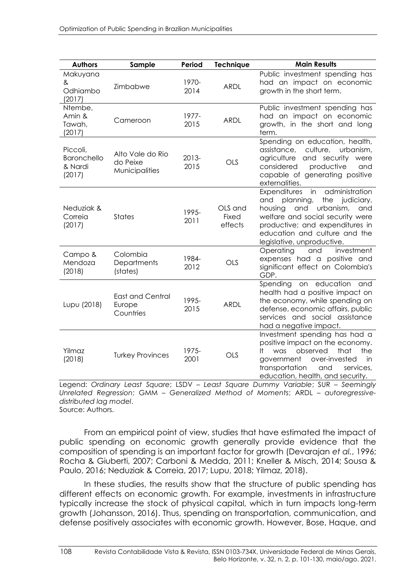| <b>Authors</b>                               | Sample                                         | Period        | <b>Technique</b>                   | <b>Main Results</b>                                                                                                                                                                                                                                       |
|----------------------------------------------|------------------------------------------------|---------------|------------------------------------|-----------------------------------------------------------------------------------------------------------------------------------------------------------------------------------------------------------------------------------------------------------|
| Makuyana<br>&<br>Odhiambo<br>(2017)          | Zimbabwe                                       | 1970-<br>2014 | <b>ARDL</b>                        | Public investment spending has<br>had an impact on economic<br>growth in the short term.                                                                                                                                                                  |
| Ntembe,<br>Amin &<br>Tawah,<br>(2017)        | Cameroon                                       | 1977-<br>2015 | <b>ARDL</b>                        | Public investment spending has<br>had an impact on economic<br>growth, in the short and long<br>term.                                                                                                                                                     |
| Piccoli,<br>Baronchello<br>& Nardi<br>(2017) | Alto Vale do Rio<br>do Peixe<br>Municipalities | 2013-<br>2015 | OLS                                | Spending on education, health,<br>culture, urbanism,<br>assistance,<br>and security<br>agriculture<br>were<br>considered<br>productive<br>and<br>capable of generating positive<br>externalities.                                                         |
| Neduziak &<br>Correia<br>(2017)              | <b>States</b>                                  | 1995-<br>2011 | OLS and<br><b>Fixed</b><br>effects | in<br>Expenditures<br>administration<br>planning,<br>the<br>judiciary,<br>and<br>housing<br>and<br>urbanism,<br>and<br>welfare and social security were<br>productive; and expenditures in<br>education and culture and the<br>legislative, unproductive. |
| Campo &<br>Mendoza<br>(2018)                 | Colombia<br>Departments<br>(states)            | 1984-<br>2012 | <b>OLS</b>                         | investment<br>Operating<br>and<br>expenses had a positive and<br>significant effect on Colombia's<br>GDP.                                                                                                                                                 |
| Lupu (2018)                                  | <b>East and Central</b><br>Europe<br>Countries | 1995-<br>2015 | <b>ARDL</b>                        | on education<br>Spending<br>and<br>health had a positive impact on<br>the economy, while spending on<br>defense, economic affairs, public<br>services and social assistance<br>had a negative impact.                                                     |
| Yilmaz<br>(2018)                             | <b>Turkey Provinces</b>                        | 1975-<br>2001 | <b>OLS</b>                         | Investment spending has had a<br>positive impact on the economy.<br>observed<br>that<br>the<br>was<br>It.<br>government<br>over-invested<br>in<br>transportation<br>and<br>services,<br>education, health, and security.                                  |

Legend: *Ordinary Least Square*; LSDV – *Least Square Dummy Variable*; SUR – *Seemingly Unrelated Regression*; GMM – *Generalized Method of Moments*; ARDL – *autoregressivedistributed lag model*.

Source: Authors.

From an empirical point of view, studies that have estimated the impact of public spending on economic growth generally provide evidence that the composition of spending is an important factor for growth (Devarajan *et al.*, 1996; Rocha & Giuberti, 2007; Carboni & Medda, 2011; Kneller & Misch, 2014; Sousa & Paulo, 2016; Neduziak & Correia, 2017; Lupu, 2018; Yilmaz, 2018).

In these studies, the results show that the structure of public spending has different effects on economic growth. For example, investments in infrastructure typically increase the stock of physical capital, which in turn impacts long-term growth (Johansson, 2016). Thus, spending on transportation, communication, and defense positively associates with economic growth. However, Bose, Haque, and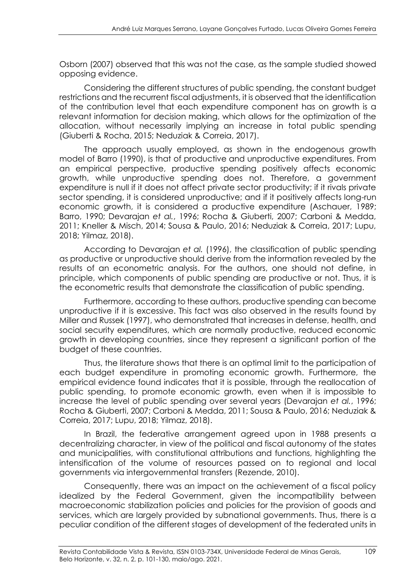Osborn (2007) observed that this was not the case, as the sample studied showed opposing evidence.

Considering the different structures of public spending, the constant budget restrictions and the recurrent fiscal adjustments, it is observed that the identification of the contribution level that each expenditure component has on growth is a relevant information for decision making, which allows for the optimization of the allocation, without necessarily implying an increase in total public spending (Giuberti & Rocha, 2015; Neduziak & Correia, 2017).

The approach usually employed, as shown in the endogenous growth model of Barro (1990), is that of productive and unproductive expenditures. From an empirical perspective, productive spending positively affects economic growth, while unproductive spending does not. Therefore, a government expenditure is null if it does not affect private sector productivity; if it rivals private sector spending, it is considered unproductive; and if it positively affects long-run economic growth, it is considered a productive expenditure (Aschauer, 1989; Barro, 1990; Devarajan *et al.*, 1996; Rocha & Giuberti, 2007; Carboni & Medda, 2011; Kneller & Misch, 2014; Sousa & Paulo, 2016; Neduziak & Correia, 2017; Lupu, 2018; Yilmaz, 2018).

According to Devarajan *et al.* (1996), the classification of public spending as productive or unproductive should derive from the information revealed by the results of an econometric analysis. For the authors, one should not define, in principle, which components of public spending are productive or not. Thus, it is the econometric results that demonstrate the classification of public spending.

Furthermore, according to these authors, productive spending can become unproductive if it is excessive. This fact was also observed in the results found by Miller and Russek (1997), who demonstrated that increases in defense, health, and social security expenditures, which are normally productive, reduced economic growth in developing countries, since they represent a significant portion of the budget of these countries.

Thus, the literature shows that there is an optimal limit to the participation of each budget expenditure in promoting economic growth. Furthermore, the empirical evidence found indicates that it is possible, through the reallocation of public spending, to promote economic growth, even when it is impossible to increase the level of public spending over several years (Devarajan *et al.*, 1996; Rocha & Giuberti, 2007; Carboni & Medda, 2011; Sousa & Paulo, 2016; Neduziak & Correia, 2017; Lupu, 2018; Yilmaz, 2018).

In Brazil, the federative arrangement agreed upon in 1988 presents a decentralizing character, in view of the political and fiscal autonomy of the states and municipalities, with constitutional attributions and functions, highlighting the intensification of the volume of resources passed on to regional and local governments via intergovernmental transfers (Rezende, 2010).

Consequently, there was an impact on the achievement of a fiscal policy idealized by the Federal Government, given the incompatibility between macroeconomic stabilization policies and policies for the provision of goods and services, which are largely provided by subnational governments. Thus, there is a peculiar condition of the different stages of development of the federated units in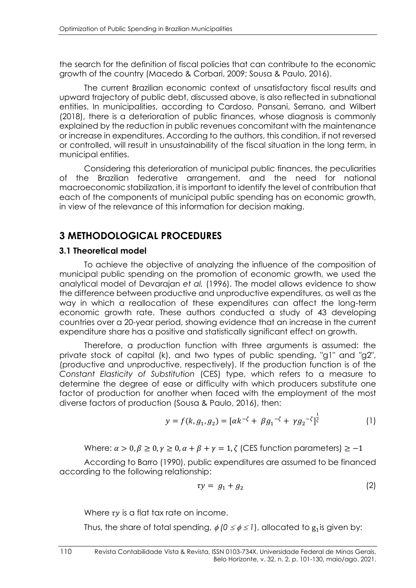the search for the definition of fiscal policies that can contribute to the economic growth of the country (Macedo & Corbari, 2009; Sousa & Paulo, 2016).

The current Brazilian economic context of unsatisfactory fiscal results and upward trajectory of public debt, discussed above, is also reflected in subnational entities. In municipalities, according to Cardoso, Pansani, Serrano, and Wilbert (2018), there is a deterioration of public finances, whose diagnosis is commonly explained by the reduction in public revenues concomitant with the maintenance or increase in expenditures. According to the authors, this condition, if not reversed or controlled, will result in unsustainability of the fiscal situation in the long term, in municipal entities.

Considering this deterioration of municipal public finances, the peculiarities of the Brazilian federative arrangement, and the need for national macroeconomic stabilization, it is important to identify the level of contribution that each of the components of municipal public spending has on economic growth, in view of the relevance of this information for decision making.

# **3 METHODOLOGICAL PROCEDURES**

#### **3.1 Theoretical model**

To achieve the objective of analyzing the influence of the composition of municipal public spending on the promotion of economic growth, we used the analytical model of Devarajan *et al.* (1996). The model allows evidence to show the difference between productive and unproductive expenditures, as well as the way in which a reallocation of these expenditures can affect the long-term economic growth rate. These authors conducted a study of 43 developing countries over a 20-year period, showing evidence that an increase in the current expenditure share has a positive and statistically significant effect on growth.

Therefore, a production function with three arguments is assumed: the private stock of capital (k), and two types of public spending, "g1" and "g2", (productive and unproductive, respectively). If the production function is of the *Constant Elasticity of Substitution* (CES) type, which refers to a measure to determine the degree of ease or difficulty with which producers substitute one factor of production for another when faced with the employment of the most diverse factors of production (Sousa & Paulo, 2016), then:

$$
y = f(k, g_1, g_2) = [\alpha k^{-\zeta} + \beta g_1^{-\zeta} + \gamma g_2^{-\zeta}]^{\frac{1}{\zeta}}
$$
 (1)

Where:  $\alpha > 0$ ,  $\beta \ge 0$ ,  $\gamma \ge 0$ ,  $\alpha + \beta + \gamma = 1$ ,  $\zeta$  (CES function parameters)  $\ge -1$ 

According to Barro (1990), public expenditures are assumed to be financed according to the following relationship:

$$
\tau y = g_1 + g_2 \tag{2}
$$

Where  $\tau y$  is a flat tax rate on income.

Thus, the share of total spending,  $\phi$  (0  $\leq$   $\phi$   $\leq$  1), allocated to  $\rm g_{1}$  is given by: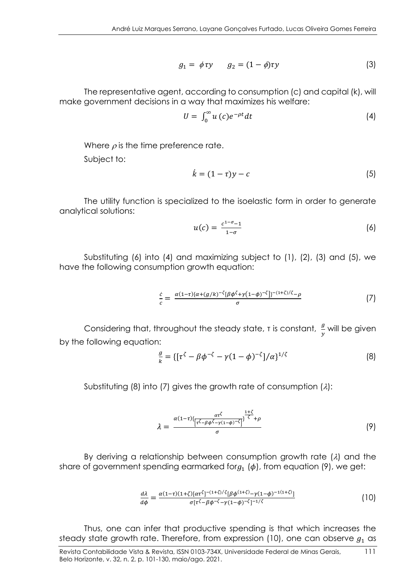$$
g_1 = \phi \tau y \qquad g_2 = (1 - \phi)\tau y \tag{3}
$$

The representative agent, according to consumption (c) and capital (k), will make government decisions in a way that maximizes his welfare:

$$
U = \int_0^\infty u\,(c)e^{-\rho t}dt\tag{4}
$$

Where  $\rho$  is the time preference rate.

Subject to:

$$
\dot{k} = (1 - \tau)y - c \tag{5}
$$

The utility function is specialized to the isoelastic form in order to generate analytical solutions:

$$
u(c) = \frac{c^{1-\sigma}-1}{1-\sigma} \tag{6}
$$

Substituting (6) into (4) and maximizing subject to (1), (2), (3) and (5), we have the following consumption growth equation:

$$
\frac{\dot{c}}{c} = \frac{\alpha (1-\tau)\{\alpha + (g/k)^{-\zeta}[\beta\phi^{\zeta} + \gamma(1-\phi)^{-\zeta}]\}^{-(1+\zeta)/\zeta} - \rho}{\sigma} \tag{7}
$$

Considering that, throughout the steady state, τ is constant,  $\frac{g}{y}$  will be given by the following equation:

$$
\frac{g}{k} = \{ [\tau^{\zeta} - \beta \phi^{-\zeta} - \gamma (1 - \phi)^{-\zeta}]/\alpha \}^{1/\zeta}
$$
 (8)

Substituting (8) into (7) gives the growth rate of consumption  $(\lambda)$ :

$$
\lambda = \frac{\alpha(1-\tau)\left\{\frac{\alpha\tau^{\zeta}}{[\tau^{\zeta}-\beta\phi^{\zeta}-\gamma(1-\phi)^{-\zeta}]} \right\}^{\frac{1+\zeta}{\zeta}} + \rho}{\sigma} \tag{9}
$$

By deriving a relationship between consumption growth rate  $(\lambda)$  and the share of government spending earmarked for $g_1$  ( $\phi$ ), from equation (9), we get:

$$
\frac{d\lambda}{d\phi} = \frac{\alpha(1-\tau)(1+\zeta)[\alpha\tau^{\zeta}]^{-(1+\zeta)/\zeta}[\beta\phi^{(1+\zeta)}-\gamma(1-\phi)^{-1(1+\zeta)}]}{\sigma[\tau^{\zeta}-\beta\phi^{-\zeta}-\gamma(1-\phi)^{-\zeta}]^{-1/\zeta}}
$$
(10)

Thus, one can infer that productive spending is that which increases the steady state growth rate. Therefore, from expression (10), one can observe  $g_1$  as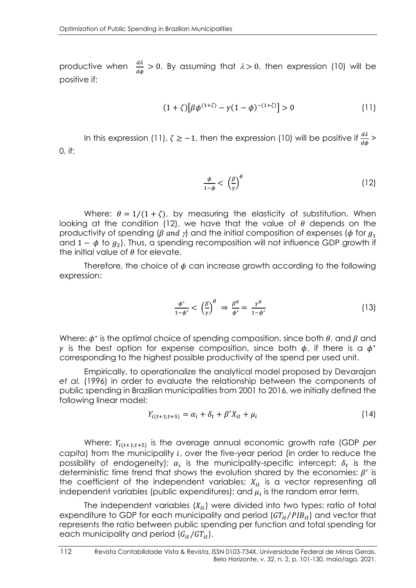productive when  $\frac{d\lambda}{d\phi} > 0$ . By assuming that  $\lambda > 0$ , then expression (10) will be positive if:

$$
(1+\zeta)\left[\beta\phi^{(1+\zeta)} - \gamma(1-\phi)^{-(1+\zeta)}\right] > 0\tag{11}
$$

In this expression (11),  $\zeta \ge -1$ , then the expression (10) will be positive if  $\frac{d\lambda}{d\phi}$  > 0, if:

$$
\frac{\phi}{1-\phi} < \left(\frac{\beta}{\gamma}\right)^{\theta} \tag{12}
$$

Where:  $\theta = 1/(1 + \zeta)$ , by measuring the elasticity of substitution. When looking at the condition (12), we have that the value of  $\theta$  depends on the productivity of spending ( $\beta$  and  $\gamma$ ) and the initial composition of expenses ( $\phi$  for  $g_1$ and 1 –  $\phi$  to  $g_2$ ). Thus, a spending recomposition will not influence GDP growth if the initial value of  $\theta$  for elevate.

Therefore, the choice of  $\phi$  can increase growth according to the following expression:

$$
\frac{\phi^*}{1-\phi^*} < \left(\frac{\beta}{\gamma}\right)^{\theta} \Rightarrow \frac{\beta^{\theta}}{\phi^*} = \frac{\gamma^{\theta}}{1-\phi^*} \tag{13}
$$

Where:  $\phi^*$  is the optimal choice of spending composition, since both  $\theta$ , and  $\beta$  and  $\gamma$  is the best option for expense composition, since both  $\phi$ , if there is a  $\phi^*$ corresponding to the highest possible productivity of the spend per used unit.

Empirically, to operationalize the analytical model proposed by Devarajan *et al.* (1996) in order to evaluate the relationship between the components of public spending in Brazilian municipalities from 2001 to 2016, we initially defined the following linear model:

$$
Y_{i(t+1;t+5)} = \alpha_i + \delta_t + \beta' X_{it} + \mu_i \tag{14}
$$

Where:  $Y_{i(t+1;t+5)}$  is the average annual economic growth rate (GDP *per capita*) from the municipality *i*, over the five-year period (in order to reduce the possibility of endogeneity);  $\alpha_i$  is the municipality-specific intercept;  $\delta_t$  is the deterministic time trend that shows the evolution shared by the economies;  $\beta'$  is the coefficient of the independent variables;  $X_{it}$  is a vector representing all independent variables (public expenditures); and  $\mu_i$  is the random error term.

The independent variables  $(X_{it})$  were divided into two types: ratio of total expenditure to GDP for each municipality and period  $(GT_{it}/PIB_{it})$  and vector that represents the ratio between public spending per function and total spending for each municipality and period  $(G_{it}/GT_{it}).$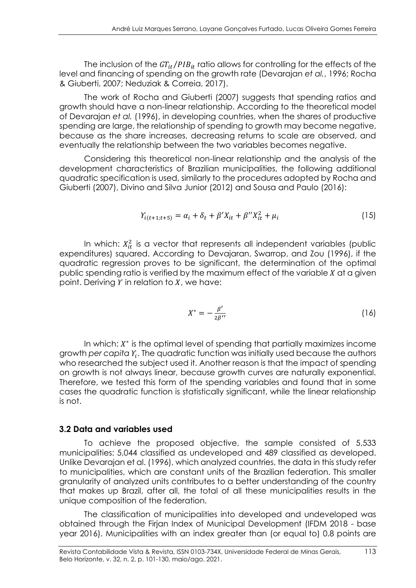The inclusion of the  $GT_{it}/PIB_{it}$  ratio allows for controlling for the effects of the level and financing of spending on the growth rate (Devarajan *et al.*, 1996; Rocha & Giuberti, 2007; Neduziak & Correia, 2017).

The work of Rocha and Giuberti (2007) suggests that spending ratios and growth should have a non-linear relationship. According to the theoretical model of Devarajan *et al.* (1996), in developing countries, when the shares of productive spending are large, the relationship of spending to growth may become negative, because as the share increases, decreasing returns to scale are observed, and eventually the relationship between the two variables becomes negative.

Considering this theoretical non-linear relationship and the analysis of the development characteristics of Brazilian municipalities, the following additional quadratic specification is used, similarly to the procedures adopted by Rocha and Giuberti (2007), Divino and Silva Junior (2012) and Sousa and Paulo (2016):

$$
Y_{i(t+1;t+5)} = \alpha_i + \delta_t + \beta' X_{it} + \beta'' X_{it}^2 + \mu_i
$$
\n(15)

In which:  $X_{it}^2$  is a vector that represents all independent variables (public expenditures) squared. According to Devajaran, Swarrop, and Zou (1996), if the quadratic regression proves to be significant, the determination of the optimal public spending ratio is verified by the maximum effect of the variable  $X$  at a given point. Deriving  $Y$  in relation to  $X$ , we have:

$$
X^* = -\frac{\beta'}{2\beta''}
$$
 (16)

In which:  $X^*$  is the optimal level of spending that partially maximizes income growth per capita  $\varUpsilon_i.$  The quadratic function was initially used because the authors who researched the subject used it. Another reason is that the impact of spending on growth is not always linear, because growth curves are naturally exponential. Therefore, we tested this form of the spending variables and found that in some cases the quadratic function is statistically significant, while the linear relationship is not.

#### **3.2 Data and variables used**

To achieve the proposed objective, the sample consisted of 5,533 municipalities: 5,044 classified as undeveloped and 489 classified as developed. Unlike Devarajan et al. (1996), which analyzed countries, the data in this study refer to municipalities, which are constant units of the Brazilian federation. This smaller granularity of analyzed units contributes to a better understanding of the country that makes up Brazil, after all, the total of all these municipalities results in the unique composition of the federation.

The classification of municipalities into developed and undeveloped was obtained through the Firjan Index of Municipal Development (IFDM 2018 - base year 2016). Municipalities with an index greater than (or equal to) 0.8 points are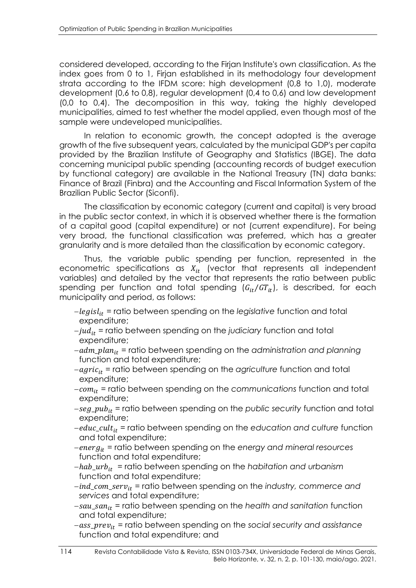considered developed, according to the Firjan Institute's own classification. As the index goes from 0 to 1, Firjan established in its methodology four development strata according to the IFDM score: high development (0,8 to 1,0), moderate development (0,6 to 0,8), regular development (0,4 to 0,6) and low development (0,0 to 0,4). The decomposition in this way, taking the highly developed municipalities, aimed to test whether the model applied, even though most of the sample were undeveloped municipalities.

In relation to economic growth, the concept adopted is the average growth of the five subsequent years, calculated by the municipal GDP's per capita provided by the Brazilian Institute of Geography and Statistics (IBGE). The data concerning municipal public spending (accounting records of budget execution by functional category) are available in the National Treasury (TN) data banks: Finance of Brazil (Finbra) and the Accounting and Fiscal Information System of the Brazilian Public Sector (Siconfi).

The classification by economic category (current and capital) is very broad in the public sector context, in which it is observed whether there is the formation of a capital good (capital expenditure) or not (current expenditure). For being very broad, the functional classification was preferred, which has a greater granularity and is more detailed than the classification by economic category.

Thus, the variable public spending per function, represented in the econometric specifications as  $X_{it}$  (vector that represents all independent variables) and detailed by the vector that represents the ratio between public spending per function and total spending  $(G_{it}/GT_{it})$ , is described, for each municipality and period, as follows:

- −legisl<sub>it</sub> = ratio between spending on the legislative function and total expenditure;
- −*jud*<sub>it</sub> = ratio between spending on the *judiciary* function and total expenditure;
- −adm\_plan<sub>it</sub> = ratio between spending on the administration and planning function and total expenditure;
- −*agric<sub>it</sub>* = ratio between spending on the *agriculture* function and total expenditure;
- − = ratio between spending on the *communications* function and total expenditure;
- −seg\_pub<sub>it</sub> = ratio between spending on the *public security* function and total expenditure;
- −educ\_cult<sub>it</sub> = ratio between spending on the education and culture function and total expenditure;
- − = ratio between spending on the *energy and mineral resources* function and total expenditure;
- −hab\_urb<sub>it</sub> = ratio between spending on the habitation and urbanism function and total expenditure;
- −\_\_ = ratio between spending on the *industry, commerce and services* and total expenditure;
- −\_ = ratio between spending on the *health and sanitation* function and total expenditure;
- −\_ = ratio between spending on the *social security and assistance*  function and total expenditure; and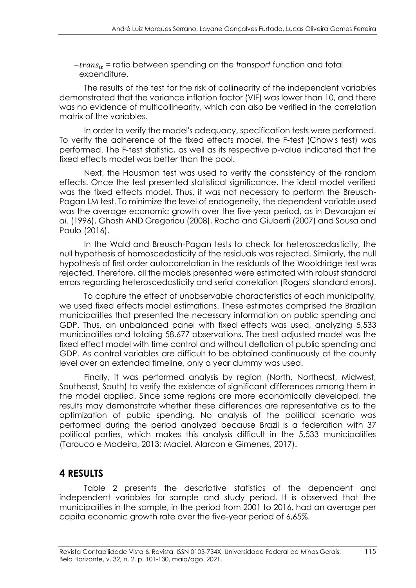− = ratio between spending on the *transport* function and total expenditure.

The results of the test for the risk of collinearity of the independent variables demonstrated that the variance inflation factor (VIF) was lower than 10, and there was no evidence of multicollinearity, which can also be verified in the correlation matrix of the variables.

In order to verify the model's adequacy, specification tests were performed. To verify the adherence of the fixed effects model, the F-test (Chow's test) was performed. The F-test statistic, as well as its respective p-value indicated that the fixed effects model was better than the pool.

Next, the Hausman test was used to verify the consistency of the random effects. Once the test presented statistical significance, the ideal model verified was the fixed effects model. Thus, it was not necessary to perform the Breusch-Pagan LM test. To minimize the level of endogeneity, the dependent variable used was the average economic growth over the five-year period, as in Devarajan *et al.* (1996), Ghosh AND Gregoriou (2008), Rocha and Giuberti (2007) and Sousa and Paulo (2016).

In the Wald and Breusch-Pagan tests to check for heteroscedasticity, the null hypothesis of homoscedasticity of the residuals was rejected. Similarly, the null hypothesis of first order autocorrelation in the residuals of the Wooldridge test was rejected. Therefore, all the models presented were estimated with robust standard errors regarding heteroscedasticity and serial correlation (Rogers' standard errors).

To capture the effect of unobservable characteristics of each municipality, we used fixed effects model estimations. These estimates comprised the Brazilian municipalities that presented the necessary information on public spending and GDP. Thus, an unbalanced panel with fixed effects was used, analyzing 5,533 municipalities and totaling 58,677 observations. The best adjusted model was the fixed effect model with time control and without deflation of public spending and GDP. As control variables are difficult to be obtained continuously at the county level over an extended timeline, only a year dummy was used.

Finally, it was performed analysis by region (North, Northeast, Midwest, Southeast, South) to verify the existence of significant differences among them in the model applied. Since some regions are more economically developed, the results may demonstrate whether these differences are representative as to the optimization of public spending. No analysis of the political scenario was performed during the period analyzed because Brazil is a federation with 37 political parties, which makes this analysis difficult in the 5,533 municipalities (Tarouco e Madeira, 2013; Maciel, Alarcon e Gimenes, 2017).

### **4 RESULTS**

Table 2 presents the descriptive statistics of the dependent and independent variables for sample and study period. It is observed that the municipalities in the sample, in the period from 2001 to 2016, had an average per capita economic growth rate over the five-year period of 6,65%.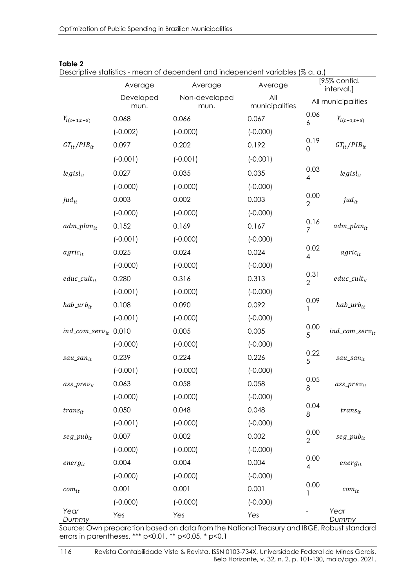|                                    | Average           | $\alpha$ , and $\alpha$ is the contract of the contract in the interpretation variables (70 G, G, $\beta$<br>Average | Average               |                        | [95% confid.<br>interval.] |
|------------------------------------|-------------------|----------------------------------------------------------------------------------------------------------------------|-----------------------|------------------------|----------------------------|
|                                    | Developed<br>mun. | Non-developed<br>mun.                                                                                                | All<br>municipalities |                        | All municipalities         |
| $Y_{i(t+1;t+5)}$                   | 0.068             | 0.066                                                                                                                | 0.067                 | 0.06<br>6              | $Y_{i(t+1;t+5)}$           |
|                                    | $(-0.002)$        | $(-0.000)$                                                                                                           | $(-0.000)$            |                        |                            |
| $GT_{it}/PIB_{it}$                 | 0.097             | 0.202                                                                                                                | 0.192                 | 0.19<br>0              | $GT_{it}/PIB_{it}$         |
|                                    | $(-0.001)$        | $(-0.001)$                                                                                                           | $(-0.001)$            |                        |                            |
| $legisl_{it}$                      | 0.027             | 0.035                                                                                                                | 0.035                 | 0.03<br>4              | legisl <sub>it</sub>       |
|                                    | $(-0.000)$        | $(-0.000)$                                                                                                           | $(-0.000)$            |                        |                            |
| $jud_{it}$                         | 0.003             | 0.002                                                                                                                | 0.003                 | 0.00<br>2              | $jud_{it}$                 |
|                                    | $(-0.000)$        | $(-0.000)$                                                                                                           | $(-0.000)$            |                        |                            |
| $adm\_plan_{it}$                   | 0.152             | 0.169                                                                                                                | 0.167                 | 0.16<br>7              | $adm\_plan_{it}$           |
|                                    | $(-0.001)$        | $(-0.000)$                                                                                                           | $(-0.000)$            |                        |                            |
| $agric_{it}$                       | 0.025             | 0.024                                                                                                                | 0.024                 | 0.02<br>4              | $agric_{it}$               |
|                                    | $(-0.000)$        | $(-0.000)$                                                                                                           | $(-0.000)$            |                        |                            |
| $educ\_cult_{it}$                  | 0.280             | 0.316                                                                                                                | 0.313                 | 0.31<br>$\overline{2}$ | $educ\_cult_{it}$          |
|                                    | $(-0.001)$        | $(-0.000)$                                                                                                           | $(-0.000)$            |                        |                            |
| $hab_$                             | 0.108             | 0.090                                                                                                                | 0.092                 | 0.09<br>1              | $hab_1urb_{it}$            |
|                                    | $(-0.001)$        | $(-0.000)$                                                                                                           | $(-0.000)$            |                        |                            |
| ind_com_serv <sub>it</sub> $0.010$ |                   | 0.005                                                                                                                | 0.005                 | 0.00<br>5              | $ind\_com\_serv_{it}$      |
|                                    | $(-0.000)$        | $(-0.000)$                                                                                                           | $(-0.000)$            |                        |                            |
| sau_san <sub>it</sub>              | 0.239             | 0.224                                                                                                                | 0.226                 | 0.22<br>5              | sau_san <sub>it</sub>      |
|                                    | $(-0.001)$        | $(-0.000)$                                                                                                           | $(-0.000)$            |                        |                            |
| $ass\_prev_{it}$                   | 0.063             | 0.058                                                                                                                | 0.058                 | 0.05<br>8              | $ass\_prev_{it}$           |
|                                    | $(-0.000)$        | $(-0.000)$                                                                                                           | $(-0.000)$            |                        |                            |
| $trans_{it}$                       | 0.050             | 0.048                                                                                                                | 0.048                 | 0.04<br>8              | $trans_{it}$               |
|                                    | $(-0.001)$        | $(-0.000)$                                                                                                           | $(-0.000)$            |                        |                            |
| $seg\_pub_{it}$                    | 0.007             | 0.002                                                                                                                | 0.002                 | 0.00<br>$\overline{2}$ | $seg_1pub_{it}$            |
|                                    | $(-0.000)$        | $(-0.000)$                                                                                                           | $(-0.000)$            |                        |                            |
| $energy_{it}$                      | 0.004             | 0.004                                                                                                                | 0.004                 | 0.00<br>4              | $energy_{it}$              |
|                                    | $(-0.000)$        | $(-0.000)$                                                                                                           | $(-0.000)$            |                        |                            |
| $com_{it}$                         | 0.001             | 0.001                                                                                                                | 0.001                 | 0.00                   | $com_{it}$                 |
|                                    | $(-0.000)$        | $(-0.000)$                                                                                                           | $(-0.000)$            |                        |                            |
| Year<br>Dummy                      | Yes               | Yes                                                                                                                  | Yes                   |                        | Year<br>Dummy              |

#### **Table 2**

Descriptive statistics - mean of dependent and independent variables (% a. a.)

Source: Own preparation based on data from the National Treasury and IBGE. Robust standard errors in parentheses. \*\*\* p<0.01, \*\* p<0.05, \* p<0.1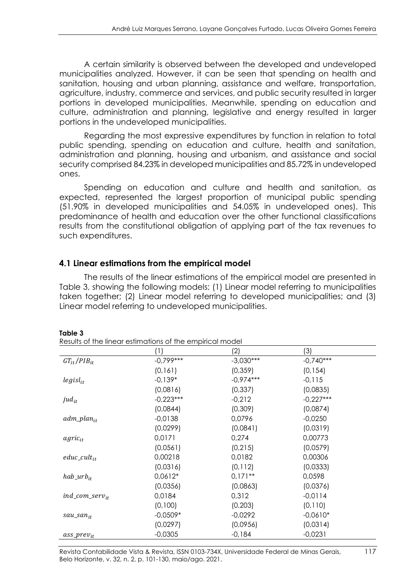A certain similarity is observed between the developed and undeveloped municipalities analyzed. However, it can be seen that spending on health and sanitation, housing and urban planning, assistance and welfare, transportation, agriculture, industry, commerce and services, and public security resulted in larger portions in developed municipalities. Meanwhile, spending on education and culture, administration and planning, legislative and energy resulted in larger portions in the undeveloped municipalities.

Regarding the most expressive expenditures by function in relation to total public spending, spending on education and culture, health and sanitation, administration and planning, housing and urbanism, and assistance and social security comprised 84.23% in developed municipalities and 85.72% in undeveloped ones.

Spending on education and culture and health and sanitation, as expected, represented the largest proportion of municipal public spending (51.90% in developed municipalities and 54.05% in undeveloped ones). This predominance of health and education over the other functional classifications results from the constitutional obligation of applying part of the tax revenues to such expenditures.

#### **4.1 Linear estimations from the empirical model**

The results of the linear estimations of the empirical model are presented in Table 3, showing the following models: (1) Linear model referring to municipalities taken together; (2) Linear model referring to developed municipalities; and (3) Linear model referring to undeveloped municipalities.

|                       | Results of the linear estimations of the empirical model |             |             |  |
|-----------------------|----------------------------------------------------------|-------------|-------------|--|
|                       | (1)                                                      | (2)         | (3)         |  |
| $GT_{it}/PIB_{it}$    | $-0.799***$                                              | $-3,030***$ | $-0,740***$ |  |
|                       | (0, 161)                                                 | (0, 359)    | (0, 154)    |  |
| $legisl_{it}$         | $-0.139*$                                                | $-0,974***$ | $-0,115$    |  |
|                       | (0,0816)                                                 | (0, 337)    | (0,0835)    |  |
| jud $_{it}$           | $-0,223***$                                              | $-0,212$    | $-0,227***$ |  |
|                       | (0,0844)                                                 | (0,309)     | (0,0874)    |  |
| $adm\_plan_{it}$      | $-0,0138$                                                | 0,0796      | $-0,0250$   |  |
|                       | (0,0299)                                                 | (0,0841)    | (0,0319)    |  |
| agric <sub>it</sub>   | 0,0171                                                   | 0,274       | 0,00773     |  |
|                       | (0,0561)                                                 | (0, 215)    | (0,0579)    |  |
| $educ\_cult_{it}$     | 0,00218                                                  | 0,0182      | 0,00306     |  |
|                       | (0,0316)                                                 | (0, 112)    | (0,0333)    |  |
| $hab_1urb_{it}$       | $0,0612*$                                                | $0,171**$   | 0,0598      |  |
|                       | (0,0356)                                                 | (0,0863)    | (0,0376)    |  |
| $ind\_com\_serv_{it}$ | 0,0184                                                   | 0,312       | $-0.0114$   |  |
|                       | (0,100)                                                  | (0, 203)    | (0,110)     |  |
| $sau\_san_{it}$       | $-0.0509*$                                               | $-0,0292$   | $-0.0610*$  |  |
|                       | (0,0297)                                                 | (0,0956)    | (0,0314)    |  |
| $ass\_prev_{it}$      | $-0,0305$                                                | $-0,184$    | $-0,0231$   |  |

#### **Table 3**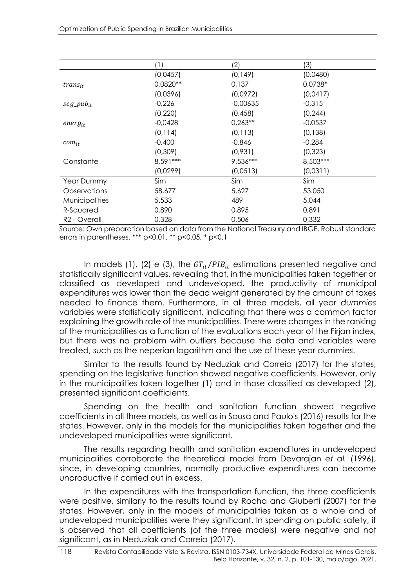|                          | $\left(1\right)$ | (2)        | (3)       |  |
|--------------------------|------------------|------------|-----------|--|
|                          | (0,0457)         | (0, 149)   | (0,0480)  |  |
| $trans_{it}$             | 0,0820**         | 0,137      | 0,0738*   |  |
|                          | (0,0396)         | (0,0972)   | (0,0417)  |  |
| $seg\_pub_{it}$          | $-0,226$         | $-0,00635$ | $-0,315$  |  |
|                          | (0, 220)         | (0, 458)   | (0, 244)  |  |
| $energy_{it}$            | $-0,0428$        | $0,263**$  | $-0,0537$ |  |
|                          | (0, 114)         | (0, 113)   | (0, 138)  |  |
| $com_{it}$               | $-0,400$         | $-0,846$   | $-0,284$  |  |
|                          | (0,309)          | (0,931)    | (0, 323)  |  |
| Constante                | 8,591 ***        | $9,536***$ | 8,503***  |  |
|                          | (0,0299)         | (0,0513)   | (0,0311)  |  |
| Year Dummy               | Sim              | Sim        | Sim       |  |
| Observations             | 58.677           | 5.627      | 53.050    |  |
| <b>Municipalities</b>    | 5.533            | 489        | 5.044     |  |
| R-Squared                | 0,890            | 0,895      | 0,891     |  |
| R <sub>2</sub> - Overall | 0,328            | 0,506      | 0,332     |  |

Source: Own preparation based on data from the National Treasury and IBGE. Robust standard errors in parentheses. \*\*\* p<0.01, \*\* p<0.05, \* p<0.1

In models (1), (2) e (3), the  $GT_{it}/PIB_{it}$  estimations presented negative and statistically significant values, revealing that, in the municipalities taken together or classified as developed and undeveloped, the productivity of municipal expenditures was lower than the dead weight generated by the amount of taxes needed to finance them. Furthermore, in all three models, all year *dummies* variables were statistically significant, indicating that there was a common factor explaining the growth rate of the municipalities. There were changes in the ranking of the municipalities as a function of the evaluations each year of the Firjan index, but there was no problem with outliers because the data and variables were treated, such as the neperian logarithm and the use of these year dummies.

Similar to the results found by Neduziak and Correia (2017) for the states, spending on the legislative function showed negative coefficients. However, only in the municipalities taken together (1) and in those classified as developed (2), presented significant coefficients.

Spending on the health and sanitation function showed negative coefficients in all three models, as well as in Sousa and Paulo's (2016) results for the states. However, only in the models for the municipalities taken together and the undeveloped municipalities were significant.

The results regarding health and sanitation expenditures in undeveloped municipalities corroborate the theoretical model from Devarajan *et al.* (1996), since, in developing countries, normally productive expenditures can become unproductive if carried out in excess.

In the expenditures with the transportation function, the three coefficients were positive, similarly to the results found by Rocha and Giuberti (2007) for the states. However, only in the models of municipalities taken as a whole and of undeveloped municipalities were they significant. In spending on public safety, it is observed that all coefficients (of the three models) were negative and not significant, as in Neduziak and Correia (2017).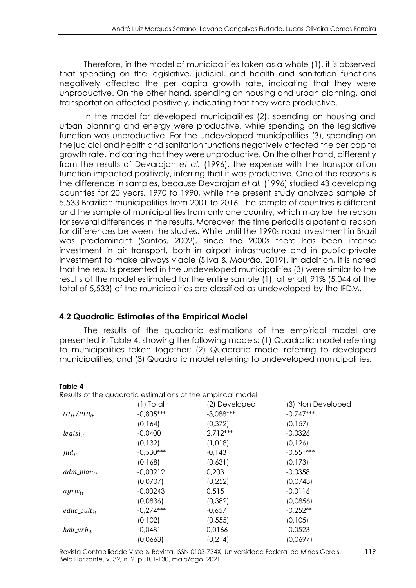Therefore, in the model of municipalities taken as a whole (1), it is observed that spending on the legislative, judicial, and health and sanitation functions negatively affected the per capita growth rate, indicating that they were unproductive. On the other hand, spending on housing and urban planning, and transportation affected positively, indicating that they were productive.

In the model for developed municipalities (2), spending on housing and urban planning and energy were productive, while spending on the legislative function was unproductive. For the undeveloped municipalities (3), spending on the judicial and health and sanitation functions negatively affected the per capita growth rate, indicating that they were unproductive. On the other hand, differently from the results of Devarajan *et al.* (1996), the expense with the transportation function impacted positively, inferring that it was productive. One of the reasons is the difference in samples, because Devarajan *et al.* (1996) studied 43 developing countries for 20 years, 1970 to 1990, while the present study analyzed sample of 5,533 Brazilian municipalities from 2001 to 2016. The sample of countries is different and the sample of municipalities from only one country, which may be the reason for several differences in the results. Moreover, the time period is a potential reason for differences between the studies. While until the 1990s road investment in Brazil was predominant (Santos, 2002), since the 2000s there has been intense investment in air transport, both in airport infrastructure and in public-private investment to make airways viable (Silva & Mourão, 2019). In addition, it is noted that the results presented in the undeveloped municipalities (3) were similar to the results of the model estimated for the entire sample (1), after all, 91% (5,044 of the total of 5,533) of the municipalities are classified as undeveloped by the IFDM.

### **4.2 Quadratic Estimates of the Empirical Model**

**Table 4**

The results of the quadratic estimations of the empirical model are presented in Table 4, showing the following models: (1) Quadratic model referring to municipalities taken together; (2) Quadratic model referring to developed municipalities; and (3) Quadratic model referring to undeveloped municipalities.

| Results of the quadratic estimations of the empirical model |             |               |                   |  |  |
|-------------------------------------------------------------|-------------|---------------|-------------------|--|--|
|                                                             | (1) Total   | (2) Developed | (3) Non Developed |  |  |
| $GT_{it}/PIB_{it}$                                          | $-0,805***$ | $-3,088***$   | $-0.747***$       |  |  |
|                                                             | (0, 164)    | (0, 372)      | (0, 157)          |  |  |
| $legisl_{it}$                                               | $-0,0400$   | $2,712***$    | $-0,0326$         |  |  |
|                                                             | (0, 132)    | (1,018)       | (0, 126)          |  |  |
| $jud_{it}$                                                  | $-0.530***$ | $-0,143$      | $-0.551***$       |  |  |
|                                                             | (0,168)     | (0,631)       | (0, 173)          |  |  |
| $adm\_plan_{it}$                                            | $-0,00912$  | 0,203         | $-0,0358$         |  |  |
|                                                             | (0,0707)    | (0, 252)      | (0,0743)          |  |  |
| $agric_{it}$                                                | $-0,00243$  | 0,515         | $-0.0116$         |  |  |
|                                                             | (0,0836)    | (0, 382)      | (0,0856)          |  |  |
| $educ\_cult_{it}$                                           | $-0,274***$ | $-0,657$      | $-0.252**$        |  |  |
|                                                             | (0, 102)    | (0, 555)      | (0, 105)          |  |  |
| $hab_$                                                      | $-0,0481$   | 0,0166        | $-0.0523$         |  |  |
|                                                             | (0,0663)    | (0, 214)      | (0,0697)          |  |  |

#### Revista Contabilidade Vista & Revista, ISSN 0103-734X, Universidade Federal de Minas Gerais, 119 Belo Horizonte, v. 32, n. 2, p. 101-130, maio/ago. 2021.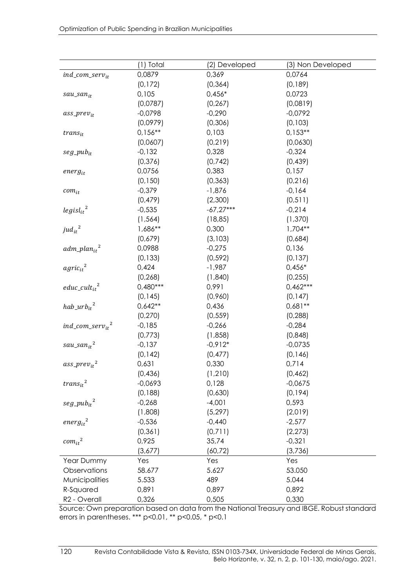|                                     | (1) Total  | (2) Developed | (3) Non Developed |
|-------------------------------------|------------|---------------|-------------------|
| ind_com_ser $v_{it}$                | 0,0879     | 0,369         | 0,0764            |
|                                     | (0, 172)   | (0, 364)      | (0,189)           |
| sau_san <sub>it</sub>               | 0,105      | $0,456*$      | 0,0723            |
|                                     | (0,0787)   | (0, 267)      | (0,0819)          |
| $ass\_prev_{it}$                    | $-0,0798$  | $-0,290$      | $-0,0792$         |
|                                     | (0,0979)   | (0,306)       | (0, 103)          |
| $trans_{it}$                        | $0,156***$ | 0,103         | $0,153**$         |
|                                     | (0,0607)   | (0, 219)      | (0,0630)          |
| $seg\_pub_{it}$                     | $-0,132$   | 0,328         | $-0,324$          |
|                                     | (0, 376)   | (0, 742)      | (0, 439)          |
| $energy_{it}$                       | 0,0756     | 0,383         | 0,157             |
|                                     | (0, 150)   | (0, 363)      | (0, 216)          |
| $com_{it}$                          | $-0,379$   | $-1,876$      | $-0,164$          |
|                                     | (0, 479)   | (2,300)       | (0, 511)          |
| $legisl_{it}^2$                     | $-0,535$   | $-67,27***$   | $-0,214$          |
|                                     | (1, 564)   | (18, 85)      | (1, 370)          |
| $jud_{it}^2$                        | 1,686**    | 0,300         | $1,704**$         |
|                                     | (0,679)    | (3, 103)      | (0,684)           |
| $adm\_plan_{it}^2$                  | 0,0988     | $-0,275$      | 0,136             |
|                                     | (0, 133)   | (0.592)       | (0, 137)          |
| $agric_{it}^2$                      | 0,424      | $-1,987$      | $0,456*$          |
|                                     | (0, 268)   | (1,840)       | (0, 255)          |
| $educ\_cult_{it}^2$                 | $0,480***$ | 0,991         | $0,462***$        |
|                                     | (0, 145)   | (0,960)       | (0, 147)          |
| $hab\_urb_{it}^2$                   | $0,642**$  | 0,436         | $0,681**$         |
|                                     | (0, 270)   | (0, 559)      | (0, 288)          |
| $ind\_com\_serv_{it}^2$             | $-0,185$   | $-0,266$      | $-0,284$          |
|                                     | (0,773)    | (1,858)       | (0,848)           |
| $sau\_san_{it}^2$                   | $-0,137$   | $-0.912*$     | $-0,0735$         |
|                                     | (0, 142)   | (0, 477)      | (0, 146)          |
| ass_prev <sub>it</sub> <sup>2</sup> | 0,631      | 0,330         | 0,714             |
|                                     | (0, 436)   | (1, 210)      | (0, 462)          |
| $trans_{it}^2$                      | $-0,0693$  | 0,128         | $-0,0675$         |
|                                     | (0, 188)   | (0,630)       | (0, 194)          |
| $seg\_pub_{it}^{\hspace{0.05cm} 2}$ | $-0,268$   | $-4,001$      | 0,593             |
|                                     | (1,808)    | (5, 297)      | (2,019)           |
| $energy_{it}^2$                     | $-0,536$   | $-0,440$      | $-2,577$          |
|                                     | (0, 361)   | (0,711)       | (2, 273)          |
| $com_{it}^2$                        | 0,925      | 35,74         | $-0,321$          |
|                                     | (3,677)    | (60, 72)      | (3,736)           |
| Year Dummy                          | Yes        | Yes           | Yes               |
| Observations                        | 58.677     | 5.627         | 53.050            |
| Municipalities                      | 5.533      | 489           | 5.044             |
| R-Squared                           | 0,891      | 0,897         | 0,892             |
| R <sub>2</sub> - Overall            | 0,326      | 0,505         | 0,330             |

Source: Own preparation based on data from the National Treasury and IBGE. Robust standard errors in parentheses. \*\*\* p<0.01, \*\* p<0.05, \* p<0.1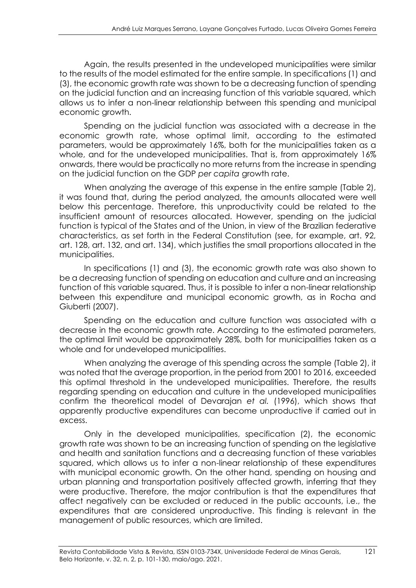Again, the results presented in the undeveloped municipalities were similar to the results of the model estimated for the entire sample. In specifications (1) and (3), the economic growth rate was shown to be a decreasing function of spending on the judicial function and an increasing function of this variable squared, which allows us to infer a non-linear relationship between this spending and municipal economic growth.

Spending on the judicial function was associated with a decrease in the economic growth rate, whose optimal limit, according to the estimated parameters, would be approximately 16%, both for the municipalities taken as a whole, and for the undeveloped municipalities. That is, from approximately 16% onwards, there would be practically no more returns from the increase in spending on the judicial function on the GDP *per capita* growth rate.

When analyzing the average of this expense in the entire sample (Table 2), it was found that, during the period analyzed, the amounts allocated were well below this percentage. Therefore, this unproductivity could be related to the insufficient amount of resources allocated. However, spending on the judicial function is typical of the States and of the Union, in view of the Brazilian federative characteristics, as set forth in the Federal Constitution (see, for example, art. 92, art. 128, art. 132, and art. 134), which justifies the small proportions allocated in the municipalities.

In specifications (1) and (3), the economic growth rate was also shown to be a decreasing function of spending on education and culture and an increasing function of this variable squared. Thus, it is possible to infer a non-linear relationship between this expenditure and municipal economic growth, as in Rocha and Giuberti (2007).

Spending on the education and culture function was associated with a decrease in the economic growth rate. According to the estimated parameters, the optimal limit would be approximately 28%, both for municipalities taken as a whole and for undeveloped municipalities.

When analyzing the average of this spending across the sample (Table 2), it was noted that the average proportion, in the period from 2001 to 2016, exceeded this optimal threshold in the undeveloped municipalities. Therefore, the results regarding spending on education and culture in the undeveloped municipalities confirm the theoretical model of Devarajan *et al.* (1996), which shows that apparently productive expenditures can become unproductive if carried out in excess.

Only in the developed municipalities, specification (2), the economic growth rate was shown to be an increasing function of spending on the legislative and health and sanitation functions and a decreasing function of these variables squared, which allows us to infer a non-linear relationship of these expenditures with municipal economic growth. On the other hand, spending on housing and urban planning and transportation positively affected growth, inferring that they were productive. Therefore, the major contribution is that the expenditures that affect negatively can be excluded or reduced in the public accounts, i.e., the expenditures that are considered unproductive. This finding is relevant in the management of public resources, which are limited.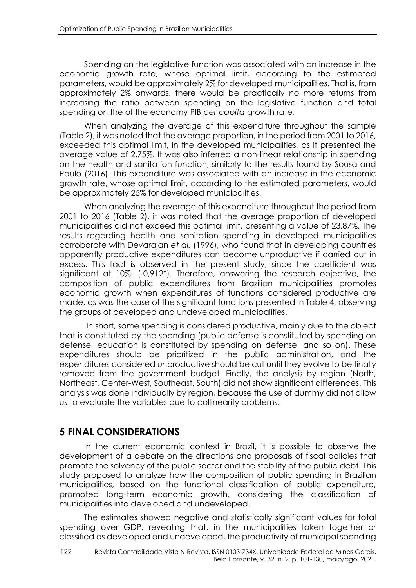Spending on the legislative function was associated with an increase in the economic growth rate, whose optimal limit, according to the estimated parameters, would be approximately 2% for developed municipalities. That is, from approximately 2% onwards, there would be practically no more returns from increasing the ratio between spending on the legislative function and total spending on the of the economy PIB *per capita* growth rate*.*

When analyzing the average of this expenditure throughout the sample (Table 2), it was noted that the average proportion, in the period from 2001 to 2016, exceeded this optimal limit, in the developed municipalities, as it presented the average value of 2.75%. It was also inferred a non-linear relationship in spending on the health and sanitation function, similarly to the results found by Sousa and Paulo (2016). This expenditure was associated with an increase in the economic growth rate, whose optimal limit, according to the estimated parameters, would be approximately 25% for developed municipalities.

When analyzing the average of this expenditure throughout the period from 2001 to 2016 (Table 2), it was noted that the average proportion of developed municipalities did not exceed this optimal limit, presenting a value of 23.87%. The results regarding health and sanitation spending in developed municipalities corroborate with Devarajan *et al.* (1996), who found that in developing countries apparently productive expenditures can become unproductive if carried out in excess. This fact is observed in the present study, since the coefficient was significant at 10%. (-0,912\*). Therefore, answering the research objective, the composition of public expenditures from Brazilian municipalities promotes economic growth when expenditures of functions considered productive are made, as was the case of the significant functions presented in Table 4, observing the groups of developed and undeveloped municipalities.

In short, some spending is considered productive, mainly due to the object that is constituted by the spending (public defense is constituted by spending on defense, education is constituted by spending on defense, and so on). These expenditures should be prioritized in the public administration, and the expenditures considered unproductive should be cut until they evolve to be finally removed from the government budget. Finally, the analysis by region (North, Northeast, Center-West, Southeast, South) did not show significant differences. This analysis was done individually by region, because the use of dummy did not allow us to evaluate the variables due to collinearity problems.

# **5 FINAL CONSIDERATIONS**

In the current economic context in Brazil, it is possible to observe the development of a debate on the directions and proposals of fiscal policies that promote the solvency of the public sector and the stability of the public debt. This study proposed to analyze how the composition of public spending in Brazilian municipalities, based on the functional classification of public expenditure, promoted long-term economic growth, considering the classification of municipalities into developed and undeveloped.

The estimates showed negative and statistically significant values for total spending over GDP, revealing that, in the municipalities taken together or classified as developed and undeveloped, the productivity of municipal spending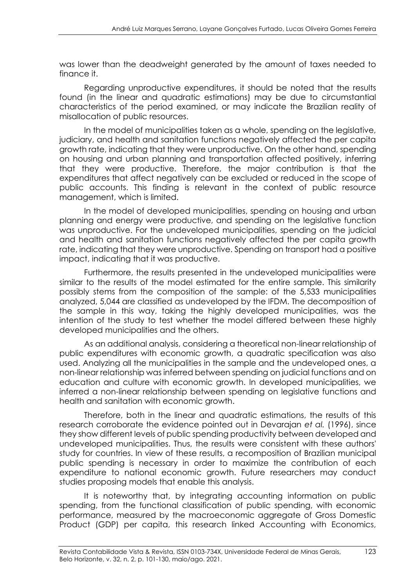was lower than the deadweight generated by the amount of taxes needed to finance it.

Regarding unproductive expenditures, it should be noted that the results found (in the linear and quadratic estimations) may be due to circumstantial characteristics of the period examined, or may indicate the Brazilian reality of misallocation of public resources.

In the model of municipalities taken as a whole, spending on the legislative, judiciary, and health and sanitation functions negatively affected the per capita growth rate, indicating that they were unproductive. On the other hand, spending on housing and urban planning and transportation affected positively, inferring that they were productive. Therefore, the major contribution is that the expenditures that affect negatively can be excluded or reduced in the scope of public accounts. This finding is relevant in the context of public resource management, which is limited.

In the model of developed municipalities, spending on housing and urban planning and energy were productive, and spending on the legislative function was unproductive. For the undeveloped municipalities, spending on the judicial and health and sanitation functions negatively affected the per capita growth rate, indicating that they were unproductive. Spending on transport had a positive impact, indicating that it was productive.

Furthermore, the results presented in the undeveloped municipalities were similar to the results of the model estimated for the entire sample. This similarity possibly stems from the composition of the sample: of the 5,533 municipalities analyzed, 5,044 are classified as undeveloped by the IFDM. The decomposition of the sample in this way, taking the highly developed municipalities, was the intention of the study to test whether the model differed between these highly developed municipalities and the others.

As an additional analysis, considering a theoretical non-linear relationship of public expenditures with economic growth, a quadratic specification was also used. Analyzing all the municipalities in the sample and the undeveloped ones, a non-linear relationship was inferred between spending on judicial functions and on education and culture with economic growth. In developed municipalities, we inferred a non-linear relationship between spending on legislative functions and health and sanitation with economic growth.

Therefore, both in the linear and quadratic estimations, the results of this research corroborate the evidence pointed out in Devarajan *et al.* (1996), since they show different levels of public spending productivity between developed and undeveloped municipalities. Thus, the results were consistent with these authors' study for countries. In view of these results, a recomposition of Brazilian municipal public spending is necessary in order to maximize the contribution of each expenditure to national economic growth. Future researchers may conduct studies proposing models that enable this analysis.

It is noteworthy that, by integrating accounting information on public spending, from the functional classification of public spending, with economic performance, measured by the macroeconomic aggregate of Gross Domestic Product (GDP) per capita, this research linked Accounting with Economics,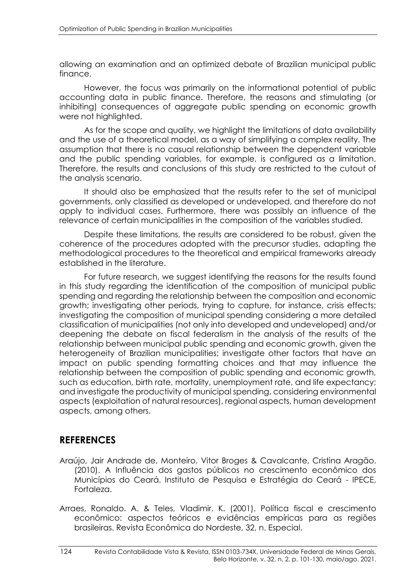allowing an examination and an optimized debate of Brazilian municipal public finance.

However, the focus was primarily on the informational potential of public accounting data in public finance. Therefore, the reasons and stimulating (or inhibiting) consequences of aggregate public spending on economic growth were not highlighted.

As for the scope and quality, we highlight the limitations of data availability and the use of a theoretical model, as a way of simplifying a complex reality. The assumption that there is no casual relationship between the dependent variable and the public spending variables, for example, is configured as a limitation. Therefore, the results and conclusions of this study are restricted to the cutout of the analysis scenario.

It should also be emphasized that the results refer to the set of municipal governments, only classified as developed or undeveloped, and therefore do not apply to individual cases. Furthermore, there was possibly an influence of the relevance of certain municipalities in the composition of the variables studied.

Despite these limitations, the results are considered to be robust, given the coherence of the procedures adopted with the precursor studies, adapting the methodological procedures to the theoretical and empirical frameworks already established in the literature.

For future research, we suggest identifying the reasons for the results found in this study regarding the identification of the composition of municipal public spending and regarding the relationship between the composition and economic growth; investigating other periods, trying to capture, for instance, crisis effects; investigating the composition of municipal spending considering a more detailed classification of municipalities (not only into developed and undeveloped) and/or deepening the debate on fiscal federalism in the analysis of the results of the relationship between municipal public spending and economic growth, given the heterogeneity of Brazilian municipalities; investigate other factors that have an impact on public spending formatting choices and that may influence the relationship between the composition of public spending and economic growth, such as education, birth rate, mortality, unemployment rate, and life expectancy; and investigate the productivity of municipal spending, considering environmental aspects (exploitation of natural resources), regional aspects, human development aspects, among others.

# **REFERENCES**

- Araújo, Jair Andrade de, Monteiro, Vitor Broges & Cavalcante, Cristina Aragão. (2010). A Influência dos gastos públicos no crescimento econômico dos Municípios do Ceará. Instituto de Pesquisa e Estratégia do Ceará - IPECE, Fortaleza.
- Arraes, Ronaldo. A. & Teles, Vladimir. K. (2001). Política fiscal e crescimento econômico: aspectos teóricos e evidências empíricas para as regiões brasileiras. Revista Econômica do Nordeste, 32, n. Especial.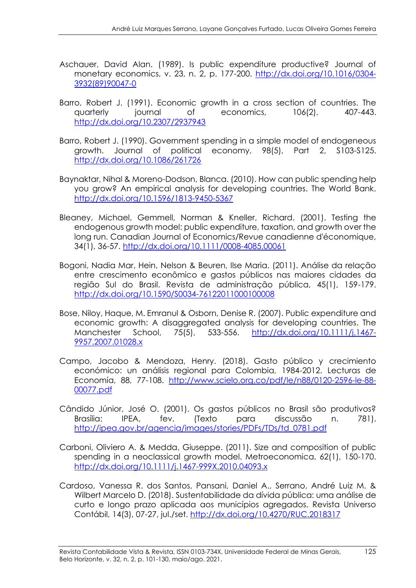- Aschauer, David Alan. (1989). Is public expenditure productive? Journal of monetary economics, v. 23, n. 2, p. 177-200. [http://dx.doi.org/10.1016/0304-](http://dx.doi.org/00.000/0000000) [3932\(89\)90047-0](http://dx.doi.org/00.000/0000000)
- Barro, Robert J. (1991). Economic growth in a cross section of countries. The quarterly journal of economics, 106(2), 407-443. [http://dx.doi.org/10.2307/2937943](http://dx.doi.org/00.000/0000000)
- Barro, Robert J. (1990). Government spending in a simple model of endogeneous growth. Journal of political economy, 98(5), Part 2, S103-S125. [http://dx.doi.org/10.1086/261726](http://dx.doi.org/00.000/0000000)
- Baynaktar, Nihal & Moreno-Dodson, Blanca. (2010). How can public spending help you grow? An empirical analysis for developing countries. The World Bank. http://dx.doi.org[/10.1596/1813-9450-5367](https://doi.org/10.1596/1813-9450-5367)
- Bleaney, Michael, Gemmell, Norman & Kneller, Richard. (2001). Testing the endogenous growth model: public expenditure, taxation, and growth over the long run. Canadian Journal of Economics/Revue canadienne d'économique, 34(1), 36-57. http://dx.doi.org[/10.1111/0008-4085.00061](https://doi.org/10.1111/0008-4085.00061)
- Bogoni, Nadia Mar, Hein, Nelson & Beuren, Ilse Maria. (2011). Análise da relação entre crescimento econômico e gastos públicos nas maiores cidades da região Sul do Brasil. Revista de administração pública, 45(1), 159-179. http://dx.doi.org/10.1590/S0034-76122011000100008
- Bose, Niloy, Haque, M. Emranul & Osborn, Denise R. (2007). Public expenditure and economic growth: A disaggregated analysis for developing countries. The Manchester School, 75(5), 533-556. http://dx.doi.org[/10.1111/j.1467-](https://doi.org/10.1111/j.1467-9957.2007.01028.x) [9957.2007.01028.x](https://doi.org/10.1111/j.1467-9957.2007.01028.x)
- Campo, Jacobo & Mendoza, Henry. (2018). Gasto público y crecimiento económico: un análisis regional para Colombia, 1984-2012. Lecturas de Economía, 88, 77-108. [http://www.scielo.org.co/pdf/le/n88/0120-2596-le-88-](http://www.scielo.org.co/pdf/le/n88/0120-2596-le-88-00077.pdf) [00077.pdf](http://www.scielo.org.co/pdf/le/n88/0120-2596-le-88-00077.pdf)
- Cândido Júnior, José O. (2001). Os gastos públicos no Brasil são produtivos? Brasília: IPEA, fev. (Texto para discussão n. 781). [http://ipea.gov.br/agencia/images/stories/PDFs/TDs/td\\_0781.pdf](http://ipea.gov.br/agencia/images/stories/PDFs/TDs/td_0781.pdf)
- Carboni, Oliviero A. & Medda, Giuseppe. (2011). Size and composition of public spending in a neoclassical growth model. Metroeconomica, 62(1), 150-170. http://dx.doi.org[/10.1111/j.1467-999X.2010.04093.x](https://doi.org/10.1111/j.1467-999X.2010.04093.x)
- Cardoso, Vanessa R. dos Santos, Pansani, Daniel A., Serrano, André Luiz M. & Wilbert Marcelo D. (2018). Sustentabilidade da dívida pública: uma análise de curto e longo prazo aplicada aos municípios agregados. Revista Universo Contábil, 14(3), 07-27, jul./set. http://dx.doi.org[/10.4270/RUC.2018317](https://proxy.furb.br/ojs/index.php/universocontabil/article/view/6653/Cardoso_Pansani_Serrano_Wilbert)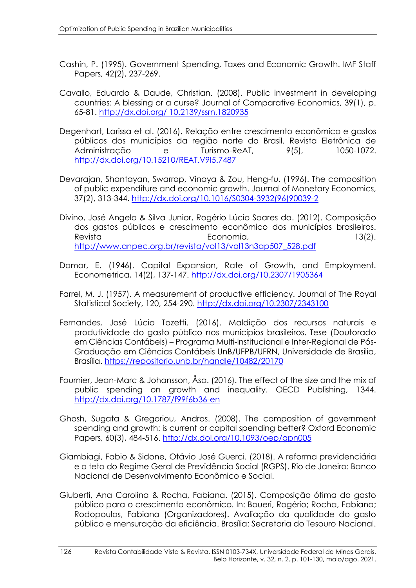- Cashin, P. (1995). Government Spending, Taxes and Economic Growth. IMF Staff Papers, 42(2), 237-269.
- Cavallo, Eduardo & Daude, Christian. (2008). Public investment in developing countries: A blessing or a curse? Journal of Comparative Economics, 39(1), p. 65-81. http://dx.doi.org/ [10.2139/ssrn.1820935](http://dx.doi.org/10.2139/ssrn.1820935)
- Degenhart, Larissa et al. (2016). Relação entre crescimento econômico e gastos públicos dos municípios da região norte do Brasil. Revista Eletrônica de Administração e Turismo-ReAT, 9(5), 1050-1072. http://dx.doi.org[/10.15210/REAT.V9I5.7487](https://doi.org/10.15210/reat.v9i5.7487)
- Devarajan, Shantayan, Swarrop, Vinaya & Zou, Heng-fu. (1996). The composition of public expenditure and economic growth. Journal of Monetary Economics, 37(2), 313-344. http://dx.doi.org[/10.1016/S0304-3932\(96\)90039-2](https://doi.org/10.1016/S0304-3932(96)90039-2)
- Divino, José Angelo & Silva Junior, Rogério Lúcio Soares da. (2012). Composição dos gastos públicos e crescimento econômico dos municípios brasileiros. Revista **Economia**, Economia, 13(2). http://www.anpec.org.br/revista/vol13/vol13n3ap507\_528.pdf
- Domar, E. (1946). Capital Expansion, Rate of Growth, and Employment. Econometrica, 14(2), 137-147. http://dx.doi.org[/10.2307/1905364](https://doi.org/10.2307/1905364)
- Farrel, M. J. (1957). A measurement of productive efficiency. Journal of The Royal Statistical Society, 120, 254-290. <http://dx.doi.org/10.2307/2343100>
- Fernandes, José Lúcio Tozetti. (2016). Maldição dos recursos naturais e produtividade do gasto público nos municípios brasileiros. Tese (Doutorado em Ciências Contábeis) – Programa Multi-institucional e Inter-Regional de Pós-Graduação em Ciências Contábeis UnB/UFPB/UFRN, Universidade de Brasília, Brasília. https://repositorio.unb.br/handle/10482/20170
- Fournier, Jean-Marc & Johansson, Åsa. (2016). The effect of the size and the mix of public spending on growth and inequality. OECD Publishing, 1344. http://dx.doi.org/10.1787/f99f6b36-en
- Ghosh, Sugata & Gregoriou, Andros. (2008). The composition of government spending and growth: is current or capital spending better? Oxford Economic Papers, 60(3), 484-516. <http://dx.doi.org/10.1093/oep/gpn005>
- Giambiagi, Fabio & Sidone, Otávio José Guerci. (2018). A reforma previdenciária e o teto do Regime Geral de Previdência Social (RGPS). Rio de Janeiro: Banco Nacional de Desenvolvimento Econômico e Social.
- Giuberti, Ana Carolina & Rocha, Fabiana. (2015). Composição ótima do gasto público para o crescimento econômico. In: Boueri, Rogério; Rocha, Fabiana; Rodopoulos, Fabiana (Organizadores). Avaliação da qualidade do gasto público e mensuração da eficiência. Brasília: Secretaria do Tesouro Nacional.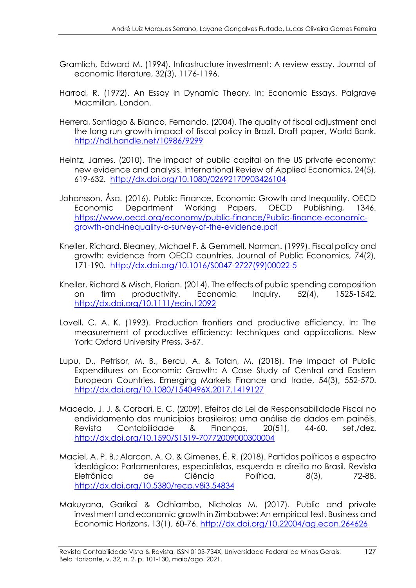- Gramlich, Edward M. (1994). Infrastructure investment: A review essay. Journal of economic literature, 32(3), 1176-1196.
- Harrod, R. (1972). An Essay in Dynamic Theory. In: Economic Essays. Palgrave Macmillan, London.
- Herrera, Santiago & Blanco, Fernando. (2004). The quality of fiscal adjustment and the long run growth impact of fiscal policy in Brazil. Draft paper, World Bank. <http://hdl.handle.net/10986/9299>
- Heintz, James. (2010). The impact of public capital on the US private economy: new evidence and analysis. International Review of Applied Economics, 24(5), 619-632. [http://dx.doi.org/10.1080/02692170903426104](https://doi.org/10.1080/02692170903426104)
- Johansson, Åsa. (2016). Public Finance, Economic Growth and Inequality. OECD Economic Department Working Papers. OECD Publishing, 1346. [https://www.oecd.org/economy/public-finance/Public-finance-economic](https://www.oecd.org/economy/public-finance/Public-finance-economic-growth-and-inequality-a-survey-of-the-evidence.pdf)[growth-and-inequality-a-survey-of-the-evidence.pdf](https://www.oecd.org/economy/public-finance/Public-finance-economic-growth-and-inequality-a-survey-of-the-evidence.pdf)
- Kneller, Richard, Bleaney, Michael F. & Gemmell, Norman. (1999). Fiscal policy and growth: evidence from OECD countries. Journal of Public Economics, 74(2), 171-190. [http://dx.doi.org/10.1016/S0047-2727\(99\)00022-5](https://doi.org/10.1016/S0047-2727(99)00022-5)
- Kneller, Richard & Misch, Florian. (2014). The effects of public spending composition on firm productivity. Economic Inquiry, 52(4), 1525-1542. [http://dx.doi.org/10.1111/ecin.12092](https://doi.org/10.1111/ecin.12092)
- Lovell, C. A. K. (1993). Production frontiers and productive efficiency. In: The measurement of productive efficiency: techniques and applications. New York: Oxford University Press, 3-67.
- Lupu, D., Petrisor, M. B., Bercu, A. & Tofan, M. (2018). The Impact of Public Expenditures on Economic Growth: A Case Study of Central and Eastern European Countries. Emerging Markets Finance and trade, 54(3), 552-570. <http://dx.doi.org/10.1080/1540496X.2017.1419127>
- Macedo, J. J. & Corbari, E. C. (2009). Efeitos da Lei de Responsabilidade Fiscal no endividamento dos municípios brasileiros: uma análise de dados em painéis. Revista Contabilidade & Finanças, 20(51), 44-60, set./dez. [http://dx.doi.org/10.1590/S1519-70772009000300004](https://doi.org/10.1590/S1519-70772009000300004)
- Maciel, A. P. B.; Alarcon, A. O. & Gimenes, É. R. (2018). Partidos políticos e espectro ideológico: Parlamentares, especialistas, esquerda e direita no Brasil. Revista Eletrônica de Ciência Política, 8(3), 72-88. <http://dx.doi.org/10.5380/recp.v8i3.54834>
- Makuyana, Garikai & Odhiambo, Nicholas M. (2017). Public and private investment and economic growth in Zimbabwe: An empirical test. Business and Economic Horizons, 13(1), 60-76. http://dx.doi.org/10.22004/ag.econ.264626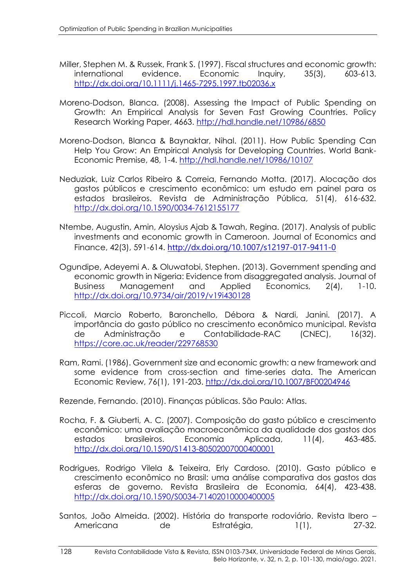- Miller, Stephen M. & Russek, Frank S. (1997). Fiscal structures and economic growth: international evidence. Economic Inquiry, 35(3), 603-613. <http://dx.doi.org/10.1111/j.1465-7295.1997.tb02036.x>
- Moreno-Dodson, Blanca. (2008). Assessing the Impact of Public Spending on Growth: An Empirical Analysis for Seven Fast Growing Countries. Policy Research Working Paper, 4663. <http://hdl.handle.net/10986/6850>
- Moreno-Dodson, Blanca & Baynaktar, Nihal. (2011). How Public Spending Can Help You Grow: An Empirical Analysis for Developing Countries. World Bank-Economic Premise, 48, 1-4. <http://hdl.handle.net/10986/10107>
- Neduziak, Luiz Carlos Ribeiro & Correia, Fernando Motta. (2017). Alocação dos gastos públicos e crescimento econômico: um estudo em painel para os estados brasileiros. Revista de Administração Pública, 51(4), 616-632. <http://dx.doi.org/10.1590/0034-7612155177>
- Ntembe, Augustin, Amin, Aloysius Ajab & Tawah, Regina. (2017). Analysis of public investments and economic growth in Cameroon. Journal of Economics and Finance, 42(3), 591-614. <http://dx.doi.org/10.1007/s12197-017-9411-0>
- Ogundipe, Adeyemi A. & Oluwatobi, Stephen. (2013). Government spending and economic growth in Nigeria: Evidence from disaggregated analysis. Journal of Business Management and Applied Economics, 2(4), 1-10. <http://dx.doi.org/10.9734/air/2019/v19i430128>
- Piccoli, Marcio Roberto, Baronchello, Débora & Nardi, Janini. (2017). A importância do gasto público no crescimento econômico municipal. Revista de Administração e Contabilidade-RAC (CNEC), 16(32). <https://core.ac.uk/reader/229768530>
- Ram, Rami. (1986). Government size and economic growth: a new framework and some evidence from cross-section and time-series data. The American Economic Review, 76(1), 191-203. <http://dx.doi.org/10.1007/BF00204946>

Rezende, Fernando. (2010). Finanças públicas. São Paulo: Atlas.

- Rocha, F. & Giuberti, A. C. (2007). Composição do gasto público e crescimento econômico: uma avaliação macroeconômica da qualidade dos gastos dos estados brasileiros. Economia Aplicada, 11(4), 463-485. <http://dx.doi.org/10.1590/S1413-80502007000400001>
- Rodrigues, Rodrigo Vilela & Teixeira, Erly Cardoso. (2010). Gasto público e crescimento econômico no Brasil: uma análise comparativa dos gastos das esferas de governo. Revista Brasileira de Economia, 64(4), 423-438. <http://dx.doi.org/10.1590/S0034-71402010000400005>
- Santos, João Almeida. (2002). História do transporte rodoviário. Revista Ibero Americana de Estratégia, 1(1), 27-32.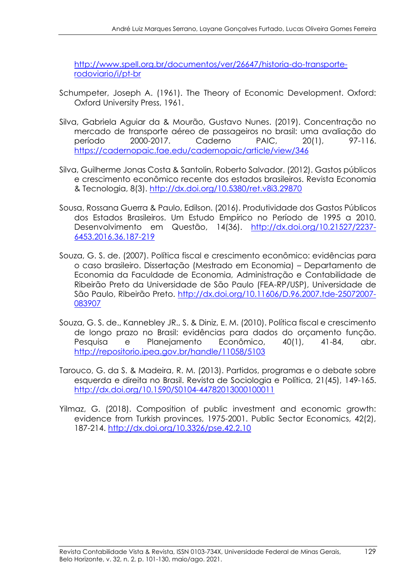http://www.spell.org.br/documentos/ver/26647/historia-do-transporterodoviario/i/pt-br

- Schumpeter, Joseph A. (1961). The Theory of Economic Development. Oxford: Oxford University Press, 1961.
- Silva, Gabriela Aguiar da & Mourão, Gustavo Nunes. (2019). Concentração no mercado de transporte aéreo de passageiros no brasil: uma avaliação do período 2000-2017. Caderno PAIC, 20(1), 97-116. https://cadernopaic.fae.edu/cadernopaic/article/view/346
- Silva, Guilherme Jonas Costa & Santolin, Roberto Salvador. (2012). Gastos públicos e crescimento econômico recente dos estados brasileiros. Revista Economia & Tecnologia, 8(3). <http://dx.doi.org/10.5380/ret.v8i3.29870>
- Sousa, Rossana Guerra & Paulo, Edilson. (2016). Produtividade dos Gastos Públicos dos Estados Brasileiros. Um Estudo Empírico no Período de 1995 a 2010. Desenvolvimento em Questão, 14(36). [http://dx.doi.org/10.21527/2237-](http://dx.doi.org/10.21527/2237-6453.2016.36.187-219) [6453.2016.36.187-219](http://dx.doi.org/10.21527/2237-6453.2016.36.187-219)
- Souza, G. S. de. (2007). Política fiscal e crescimento econômico: evidências para o caso brasileiro. Dissertação (Mestrado em Economia) – Departamento de Economia da Faculdade de Economia, Administração e Contabilidade de Ribeirão Preto da Universidade de São Paulo (FEA-RP/USP), Universidade de São Paulo, Ribeirão Preto. http://dx.doi.org/10.11606/D.96.2007.tde-25072007- 083907
- Souza, G. S. de., Kannebley JR., S. & Diniz, E. M. (2010). Política fiscal e crescimento de longo prazo no Brasil: evidências para dados do orçamento função. Pesquisa e Planejamento Econômico, 40(1), 41-84, abr. http://repositorio.ipea.gov.br/handle/11058/5103
- Tarouco, G. da S. & Madeira, R. M. (2013). Partidos, programas e o debate sobre esquerda e direita no Brasil. Revista de Sociologia e Política, 21(45), 149-165. http://dx.doi.org/10.1590/S0104-44782013000100011
- Yilmaz, G. (2018). Composition of public investment and economic growth: evidence from Turkish provinces, 1975-2001. Public Sector Economics, 42(2), 187-214. <http://dx.doi.org/10.3326/pse.42.2.10>